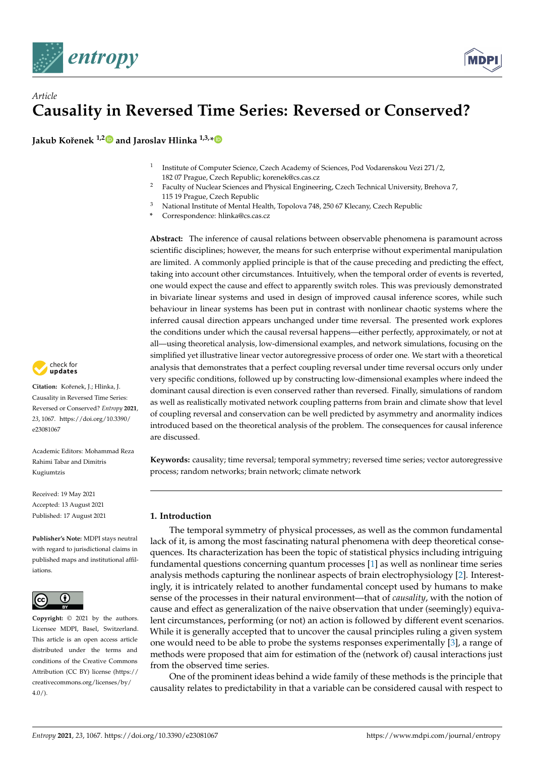



# *Article* **Causality in Reversed Time Series: Reversed or Conserved?**

**Jakub Koˇrenek 1,[2](https://orcid.org/0000-0002-2683-5300) and Jaroslav Hlinka 1,3,[\\*](https://orcid.org/0000-0003-1402-1470)**

- 1 Institute of Computer Science, Czech Academy of Sciences, Pod Vodarenskou Vezi 271/2, 182 07 Prague, Czech Republic; korenek@cs.cas.cz
- <sup>2</sup> Faculty of Nuclear Sciences and Physical Engineering, Czech Technical University, Brehova 7, 115 19 Prague, Czech Republic
- <sup>3</sup> National Institute of Mental Health, Topolova 748, 250 67 Klecany, Czech Republic
- **\*** Correspondence: hlinka@cs.cas.cz

**Abstract:** The inference of causal relations between observable phenomena is paramount across scientific disciplines; however, the means for such enterprise without experimental manipulation are limited. A commonly applied principle is that of the cause preceding and predicting the effect, taking into account other circumstances. Intuitively, when the temporal order of events is reverted, one would expect the cause and effect to apparently switch roles. This was previously demonstrated in bivariate linear systems and used in design of improved causal inference scores, while such behaviour in linear systems has been put in contrast with nonlinear chaotic systems where the inferred causal direction appears unchanged under time reversal. The presented work explores the conditions under which the causal reversal happens—either perfectly, approximately, or not at all—using theoretical analysis, low-dimensional examples, and network simulations, focusing on the simplified yet illustrative linear vector autoregressive process of order one. We start with a theoretical analysis that demonstrates that a perfect coupling reversal under time reversal occurs only under very specific conditions, followed up by constructing low-dimensional examples where indeed the dominant causal direction is even conserved rather than reversed. Finally, simulations of random as well as realistically motivated network coupling patterns from brain and climate show that level of coupling reversal and conservation can be well predicted by asymmetry and anormality indices introduced based on the theoretical analysis of the problem. The consequences for causal inference are discussed.

**Keywords:** causality; time reversal; temporal symmetry; reversed time series; vector autoregressive process; random networks; brain network; climate network

# **1. Introduction**

The temporal symmetry of physical processes, as well as the common fundamental lack of it, is among the most fascinating natural phenomena with deep theoretical consequences. Its characterization has been the topic of statistical physics including intriguing fundamental questions concerning quantum processes [\[1\]](#page-20-0) as well as nonlinear time series analysis methods capturing the nonlinear aspects of brain electrophysiology [\[2\]](#page-20-1). Interestingly, it is intricately related to another fundamental concept used by humans to make sense of the processes in their natural environment—that of *causality*, with the notion of cause and effect as generalization of the naive observation that under (seemingly) equivalent circumstances, performing (or not) an action is followed by different event scenarios. While it is generally accepted that to uncover the causal principles ruling a given system one would need to be able to probe the systems responses experimentally [\[3\]](#page-20-2), a range of methods were proposed that aim for estimation of the (network of) causal interactions just from the observed time series.

One of the prominent ideas behind a wide family of these methods is the principle that causality relates to predictability in that a variable can be considered causal with respect to



**Citation:** Koˇrenek, J.; Hlinka, J. Causality in Reversed Time Series: Reversed or Conserved? *Entropy* **2021**, *23*, 1067. [https://doi.org/10.3390/](https://doi.org/10.3390/e23081067) [e23081067](https://doi.org/10.3390/e23081067)

Academic Editors: Mohammad Reza Rahimi Tabar and Dimitris Kugiumtzis

Received: 19 May 2021 Accepted: 13 August 2021 Published: 17 August 2021

**Publisher's Note:** MDPI stays neutral with regard to jurisdictional claims in published maps and institutional affiliations.



**Copyright:** © 2021 by the authors. Licensee MDPI, Basel, Switzerland. This article is an open access article distributed under the terms and conditions of the Creative Commons Attribution (CC BY) license (https:/[/](https://creativecommons.org/licenses/by/4.0/) [creativecommons.org/licenses/by/](https://creativecommons.org/licenses/by/4.0/)  $4.0/$ ).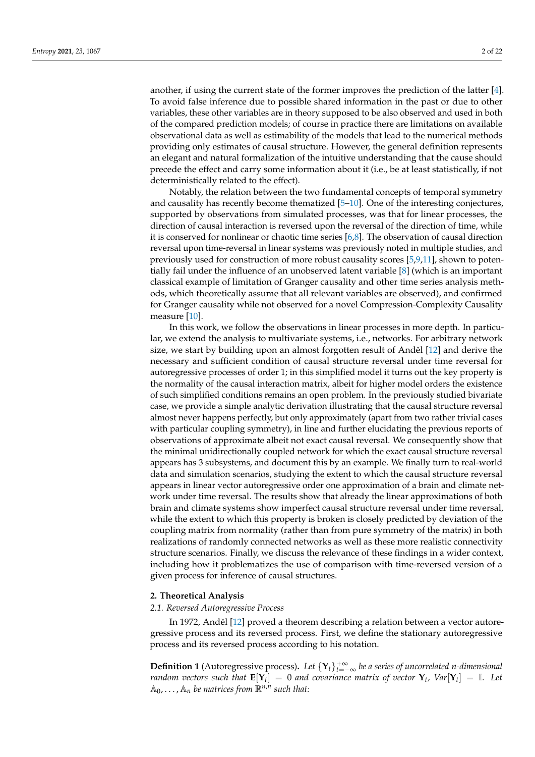another, if using the current state of the former improves the prediction of the latter [\[4\]](#page-20-3). To avoid false inference due to possible shared information in the past or due to other variables, these other variables are in theory supposed to be also observed and used in both of the compared prediction models; of course in practice there are limitations on available observational data as well as estimability of the models that lead to the numerical methods providing only estimates of causal structure. However, the general definition represents an elegant and natural formalization of the intuitive understanding that the cause should precede the effect and carry some information about it (i.e., be at least statistically, if not deterministically related to the effect).

Notably, the relation between the two fundamental concepts of temporal symmetry and causality has recently become thematized [\[5](#page-20-4)[–10\]](#page-20-5). One of the interesting conjectures, supported by observations from simulated processes, was that for linear processes, the direction of causal interaction is reversed upon the reversal of the direction of time, while it is conserved for nonlinear or chaotic time series  $[6,8]$  $[6,8]$ . The observation of causal direction reversal upon time-reversal in linear systems was previously noted in multiple studies, and previously used for construction of more robust causality scores [\[5,](#page-20-4)[9,](#page-20-8)[11\]](#page-20-9), shown to potentially fail under the influence of an unobserved latent variable [\[8\]](#page-20-7) (which is an important classical example of limitation of Granger causality and other time series analysis methods, which theoretically assume that all relevant variables are observed), and confirmed for Granger causality while not observed for a novel Compression-Complexity Causality measure [\[10\]](#page-20-5).

In this work, we follow the observations in linear processes in more depth. In particular, we extend the analysis to multivariate systems, i.e., networks. For arbitrary network size, we start by building upon an almost forgotten result of Anděl  $[12]$  and derive the necessary and sufficient condition of causal structure reversal under time reversal for autoregressive processes of order 1; in this simplified model it turns out the key property is the normality of the causal interaction matrix, albeit for higher model orders the existence of such simplified conditions remains an open problem. In the previously studied bivariate case, we provide a simple analytic derivation illustrating that the causal structure reversal almost never happens perfectly, but only approximately (apart from two rather trivial cases with particular coupling symmetry), in line and further elucidating the previous reports of observations of approximate albeit not exact causal reversal. We consequently show that the minimal unidirectionally coupled network for which the exact causal structure reversal appears has 3 subsystems, and document this by an example. We finally turn to real-world data and simulation scenarios, studying the extent to which the causal structure reversal appears in linear vector autoregressive order one approximation of a brain and climate network under time reversal. The results show that already the linear approximations of both brain and climate systems show imperfect causal structure reversal under time reversal, while the extent to which this property is broken is closely predicted by deviation of the coupling matrix from normality (rather than from pure symmetry of the matrix) in both realizations of randomly connected networks as well as these more realistic connectivity structure scenarios. Finally, we discuss the relevance of these findings in a wider context, including how it problematizes the use of comparison with time-reversed version of a given process for inference of causal structures.

# <span id="page-1-1"></span>**2. Theoretical Analysis**

#### *2.1. Reversed Autoregressive Process*

In 1972, Anděl [\[12\]](#page-20-10) proved a theorem describing a relation between a vector autoregressive process and its reversed process. First, we define the stationary autoregressive process and its reversed process according to his notation.

<span id="page-1-0"></span>**Definition 1** (Autoregressive process). Let  $\{Y_t\}_{t=-\infty}^{+\infty}$  be a series of uncorrelated *n*-dimensional *random vectors such that*  $\mathbf{E}[Y_t] = 0$  *and covariance matrix of vector*  $Y_t$ ,  $Var[Y_t] = \mathbb{I}$ . Let  $\mathbb{A}_0, \ldots, \mathbb{A}_n$  be matrices from  $\mathbb{R}^{n,n}$  such that: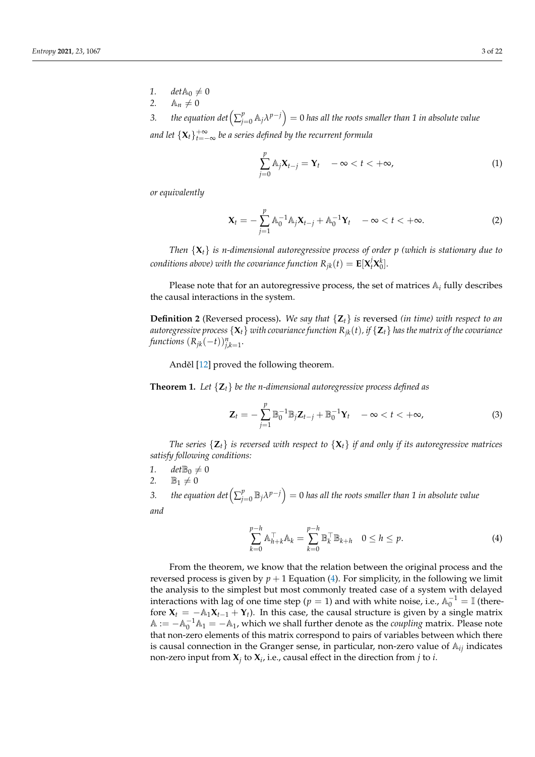- 1.  $det \mathbb{A}_0 \neq 0$ <br>2.  $\mathbb{A}_n \neq 0$
- $A_n \neq 0$

3. *the equation*  $\det\left(\sum_{j=0}^p\mathbb{A}_j\lambda^{p-j}\right)=0$  *<i>has all the roots smaller than 1 in absolute value* and let  $\{{\bf X}_t\}_{t=-\infty}^{+\infty}$  be a series defined by the recurrent formula

$$
\sum_{j=0}^{p} \mathbb{A}_{j} \mathbf{X}_{t-j} = \mathbf{Y}_{t} \quad -\infty < t < +\infty,
$$
 (1)

*or equivalently*

$$
\mathbf{X}_{t} = -\sum_{j=1}^{p} \mathbb{A}_{0}^{-1} \mathbb{A}_{j} \mathbf{X}_{t-j} + \mathbb{A}_{0}^{-1} \mathbf{Y}_{t} \quad -\infty < t < +\infty.
$$
 (2)

*Then* {**X***t*} *is n-dimensional autoregressive process of order p (which is stationary due to conditions above) with the covariance function*  $R_{jk}(t) = \mathbf{E}[\mathbf{X}_t^j \mathbf{X}_0^k]$ *.* 

Please note that for an autoregressive process, the set of matrices A*<sup>i</sup>* fully describes the causal interactions in the system.

**Definition 2** (Reversed process)**.** *We say that* {**Z***t*} *is* reversed *(in time) with respect to an autoregressive process*  $\{X_t\}$  *with covariance function*  $R_{ik}(t)$ *, if*  $\{Z_t\}$  *has the matrix of the covariance*  $f$ *unctions*  $(R_{jk}(-t))_{j,k=1}^n$ .

Anděl [\[12\]](#page-20-10) proved the following theorem.

<span id="page-2-1"></span>**Theorem 1.** *Let* {**Z***t*} *be the n-dimensional autoregressive process defined as*

$$
\mathbf{Z}_t = -\sum_{j=1}^p \mathbb{B}_0^{-1} \mathbb{B}_j \mathbf{Z}_{t-j} + \mathbb{B}_0^{-1} \mathbf{Y}_t \quad -\infty < t < +\infty,\tag{3}
$$

*The series*  $\{Z_t\}$  *is reversed with respect to*  $\{X_t\}$  *if and only if its autoregressive matrices satisfy following conditions:*

- 1. *det* $\mathbb{B}_0 \neq 0$
- 2.  $\mathbb{B}_1 \neq 0$

3. *the equation det*  $\left(\sum_{i=1}^{p} a_i\right)$  $\int_{j=0}^p \mathbb{B}_j \lambda^{p-j} \Big) = 0$  has all the roots smaller than 1 in absolute value

*and*

<span id="page-2-0"></span>
$$
\sum_{k=0}^{p-h} \mathbb{A}_{h+k}^{\top} \mathbb{A}_k = \sum_{k=0}^{p-h} \mathbb{B}_k^{\top} \mathbb{B}_{k+h} \quad 0 \le h \le p.
$$
 (4)

From the theorem, we know that the relation between the original process and the reversed process is given by  $p + 1$  Equation [\(4\)](#page-2-0). For simplicity, in the following we limit the analysis to the simplest but most commonly treated case of a system with delayed interactions with lag of one time step ( $p = 1$ ) and with white noise, i.e.,  $\mathbb{A}_0^{-1} = \mathbb{I}$  (therefore  $X_t = -A_1X_{t-1} + Y_t$ ). In this case, the causal structure is given by a single matrix  $\mathbb{A} := -\mathbb{A}_0^{-1}\mathbb{A}_1 = -\mathbb{A}_1$ , which we shall further denote as the *coupling* matrix. Please note that non-zero elements of this matrix correspond to pairs of variables between which there is causal connection in the Granger sense, in particular, non-zero value of A*ij* indicates non-zero input from  $\mathbf{X}_j$  to  $\mathbf{X}_i$ , i.e., causal effect in the direction from  $j$  to  $i$ .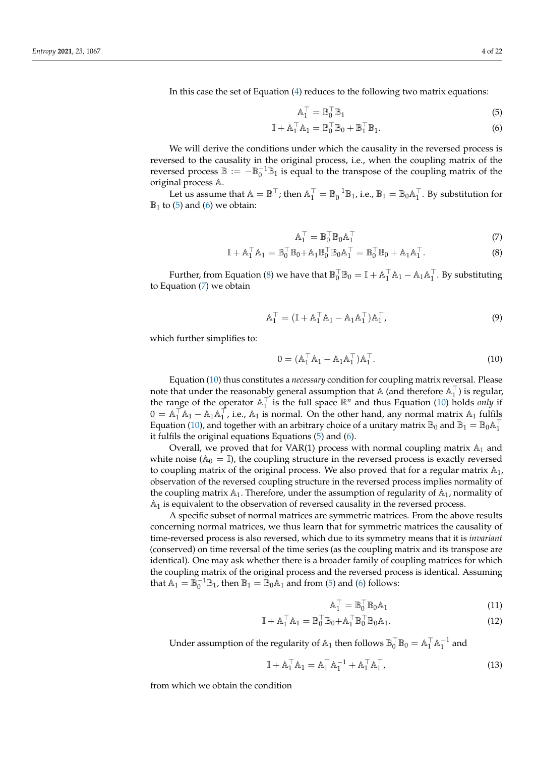In this case the set of Equation [\(4\)](#page-2-0) reduces to the following two matrix equations:

<span id="page-3-1"></span><span id="page-3-0"></span>
$$
\mathbb{A}_1^\top = \mathbb{B}_0^\top \mathbb{B}_1 \tag{5}
$$

$$
\mathbb{I} + \mathbb{A}_1^\top \mathbb{A}_1 = \mathbb{B}_0^\top \mathbb{B}_0 + \mathbb{B}_1^\top \mathbb{B}_1. \tag{6}
$$

We will derive the conditions under which the causality in the reversed process is reversed to the causality in the original process, i.e., when the coupling matrix of the reversed process  $\mathbb{B} := -\mathbb{B}_0^{-1} \mathbb{B}_1$  is equal to the transpose of the coupling matrix of the original process A.

Let us assume that  $A = \mathbb{B}^{\top}$ ; then  $A_1^{\top} = \mathbb{B}_0^{-1} \mathbb{B}_1$ , i.e.,  $\mathbb{B}_1 = \mathbb{B}_0 A_1^{\top}$ . By substitution for  $\mathbb{B}_1$  to [\(5\)](#page-3-0) and [\(6\)](#page-3-1) we obtain:

<span id="page-3-3"></span><span id="page-3-2"></span>
$$
\mathbb{A}_1^\top = \mathbb{B}_0^\top \mathbb{B}_0 \mathbb{A}_1^\top \tag{7}
$$

$$
\mathbb{I} + \mathbb{A}_1^{\top} \mathbb{A}_1 = \mathbb{B}_0^{\top} \mathbb{B}_0 + \mathbb{A}_1 \mathbb{B}_0^{\top} \mathbb{B}_0 \mathbb{A}_1^{\top} = \mathbb{B}_0^{\top} \mathbb{B}_0 + \mathbb{A}_1 \mathbb{A}_1^{\top}.
$$
 (8)

Further, from Equation [\(8\)](#page-3-2) we have that  $\mathbb{B}_0^{\top} \mathbb{B}_0 = \mathbb{I} + \mathbb{A}_1^{\top} \mathbb{A}_1 - \mathbb{A}_1 \mathbb{A}_1^{\top}$ . By substituting to Equation [\(7\)](#page-3-3) we obtain

$$
\mathbb{A}_1^{\top} = (\mathbb{I} + \mathbb{A}_1^{\top} \mathbb{A}_1 - \mathbb{A}_1 \mathbb{A}_1^{\top}) \mathbb{A}_1^{\top}, \tag{9}
$$

which further simplifies to:

<span id="page-3-4"></span>
$$
0 = (A_1^\top A_1 - A_1 A_1^\top) A_1^\top.
$$
 (10)

Equation [\(10\)](#page-3-4) thus constitutes a *necessary* condition for coupling matrix reversal. Please note that under the reasonably general assumption that  $\mathbb{A}$  (and therefore  $\mathbb{A}_1^{\top}$ ) is regular, the range of the operator  $A_1^{\top}$  is the full space  $\mathbb{R}^n$  and thus Equation [\(10\)](#page-3-4) holds *only* if  $0 = \mathbb{A}_1^{\top} \mathbb{A}_1 - \mathbb{A}_1 \mathbb{A}_1^{\top}$ , i.e.,  $\mathbb{A}_1$  is normal. On the other hand, any normal matrix  $\mathbb{A}_1$  fulfils Equation [\(10\)](#page-3-4), and together with an arbitrary choice of a unitary matrix  $\mathbb{B}_0$  and  $\mathbb{B}_1 = \mathbb{B}_0 \mathbb{A}_1^\top$ it fulfils the original equations Equations [\(5\)](#page-3-0) and [\(6\)](#page-3-1).

Overall, we proved that for VAR(1) process with normal coupling matrix  $\mathbb{A}_1$  and white noise ( $\mathbb{A}_0 = \mathbb{I}$ ), the coupling structure in the reversed process is exactly reversed to coupling matrix of the original process. We also proved that for a regular matrix  $\mathbb{A}_1$ , observation of the reversed coupling structure in the reversed process implies normality of the coupling matrix  $A_1$ . Therefore, under the assumption of regularity of  $A_1$ , normality of  $\mathbb{A}_1$  is equivalent to the observation of reversed causality in the reversed process.

A specific subset of normal matrices are symmetric matrices. From the above results concerning normal matrices, we thus learn that for symmetric matrices the causality of time-reversed process is also reversed, which due to its symmetry means that it is *invariant* (conserved) on time reversal of the time series (as the coupling matrix and its transpose are identical). One may ask whether there is a broader family of coupling matrices for which the coupling matrix of the original process and the reversed process is identical. Assuming that  $\mathbb{A}_1 = \mathbb{B}_0^{-1} \mathbb{B}_1$ , then  $\mathbb{B}_1 = \mathbb{B}_0 \mathbb{A}_1$  and from [\(5\)](#page-3-0) and [\(6\)](#page-3-1) follows:

$$
\mathbb{A}_1^\top = \mathbb{B}_0^\top \mathbb{B}_0 \mathbb{A}_1 \tag{11}
$$

$$
\mathbb{I} + \mathbb{A}_1^\top \mathbb{A}_1 = \mathbb{B}_0^\top \mathbb{B}_0 + \mathbb{A}_1^\top \mathbb{B}_0^\top \mathbb{B}_0 \mathbb{A}_1. \tag{12}
$$

Under assumption of the regularity of  $\mathbb{A}_1$  then follows  $\mathbb{B}_0^{\top} \mathbb{B}_0 = \mathbb{A}_1^{\top} \mathbb{A}_1^{-1}$  and

$$
\mathbb{I} + \mathbb{A}_1^{\top} \mathbb{A}_1 = \mathbb{A}_1^{\top} \mathbb{A}_1^{-1} + \mathbb{A}_1^{\top} \mathbb{A}_1^{\top}, \tag{13}
$$

from which we obtain the condition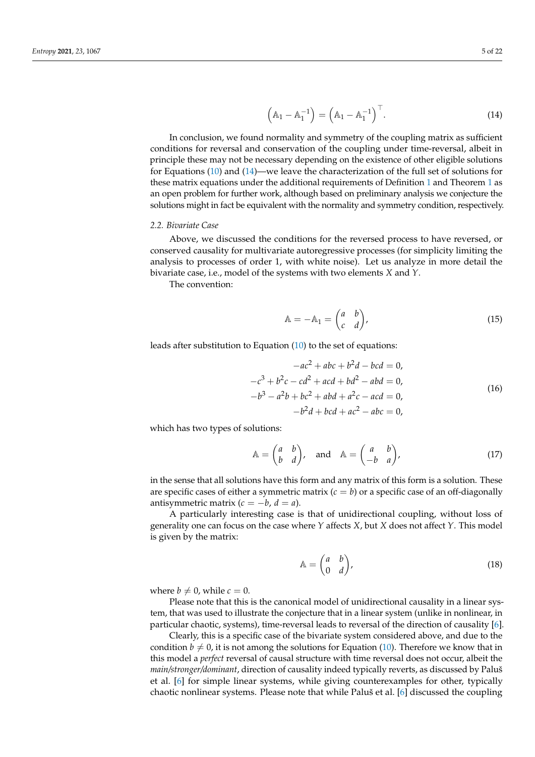<span id="page-4-0"></span>
$$
\left(\mathbb{A}_1 - \mathbb{A}_1^{-1}\right) = \left(\mathbb{A}_1 - \mathbb{A}_1^{-1}\right)^\top. \tag{14}
$$

In conclusion, we found normality and symmetry of the coupling matrix as sufficient conditions for reversal and conservation of the coupling under time-reversal, albeit in principle these may not be necessary depending on the existence of other eligible solutions for Equations [\(10\)](#page-3-4) and [\(14\)](#page-4-0)—we leave the characterization of the full set of solutions for these matrix equations under the additional requirements of Definition [1](#page-1-0) and Theorem [1](#page-2-1) as an open problem for further work, although based on preliminary analysis we conjecture the solutions might in fact be equivalent with the normality and symmetry condition, respectively.

#### *2.2. Bivariate Case*

Above, we discussed the conditions for the reversed process to have reversed, or conserved causality for multivariate autoregressive processes (for simplicity limiting the analysis to processes of order 1, with white noise). Let us analyze in more detail the bivariate case, i.e., model of the systems with two elements *X* and *Y*.

The convention:

$$
\mathbb{A} = -\mathbb{A}_1 = \begin{pmatrix} a & b \\ c & d \end{pmatrix},\tag{15}
$$

leads after substitution to Equation [\(10\)](#page-3-4) to the set of equations:

<span id="page-4-1"></span>
$$
-ac^{2} + abc + b^{2}d - bcd = 0,
$$
  
\n
$$
-c^{3} + b^{2}c - cd^{2} + acd + bd^{2} - abd = 0,
$$
  
\n
$$
-b^{3} - a^{2}b + bc^{2} + abd + a^{2}c - acd = 0,
$$
  
\n
$$
-b^{2}d + bcd + ac^{2} - abc = 0,
$$
  
\n(16)

which has two types of solutions:

$$
\mathbb{A} = \begin{pmatrix} a & b \\ b & d \end{pmatrix}, \quad \text{and} \quad \mathbb{A} = \begin{pmatrix} a & b \\ -b & a \end{pmatrix}, \tag{17}
$$

in the sense that all solutions have this form and any matrix of this form is a solution. These are specific cases of either a symmetric matrix  $(c = b)$  or a specific case of an off-diagonally antisymmetric matrix  $(c = -b, d = a)$ .

A particularly interesting case is that of unidirectional coupling, without loss of generality one can focus on the case where *Y* affects *X*, but *X* does not affect *Y*. This model is given by the matrix:

<span id="page-4-2"></span>
$$
\mathbb{A} = \begin{pmatrix} a & b \\ 0 & d \end{pmatrix},\tag{18}
$$

where  $b \neq 0$ , while  $c = 0$ .

Please note that this is the canonical model of unidirectional causality in a linear system, that was used to illustrate the conjecture that in a linear system (unlike in nonlinear, in particular chaotic, systems), time-reversal leads to reversal of the direction of causality [\[6\]](#page-20-6).

Clearly, this is a specific case of the bivariate system considered above, and due to the condition  $b \neq 0$ , it is not among the solutions for Equation [\(10\)](#page-3-4). Therefore we know that in this model a *perfect* reversal of causal structure with time reversal does not occur, albeit the *main/stronger/dominant*, direction of causality indeed typically reverts, as discussed by Paluš et al. [\[6\]](#page-20-6) for simple linear systems, while giving counterexamples for other, typically chaotic nonlinear systems. Please note that while Paluš et al. [\[6\]](#page-20-6) discussed the coupling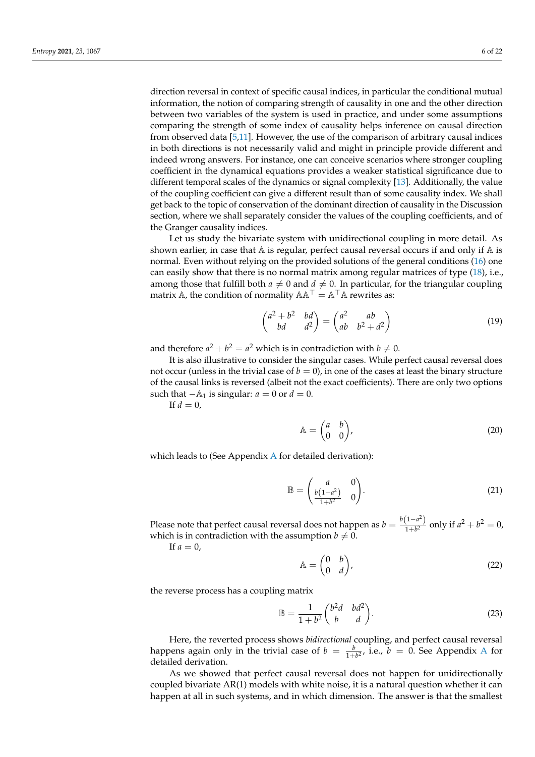direction reversal in context of specific causal indices, in particular the conditional mutual information, the notion of comparing strength of causality in one and the other direction between two variables of the system is used in practice, and under some assumptions comparing the strength of some index of causality helps inference on causal direction from observed data [\[5,](#page-20-4)[11\]](#page-20-9). However, the use of the comparison of arbitrary causal indices in both directions is not necessarily valid and might in principle provide different and indeed wrong answers. For instance, one can conceive scenarios where stronger coupling coefficient in the dynamical equations provides a weaker statistical significance due to different temporal scales of the dynamics or signal complexity [\[13\]](#page-20-11). Additionally, the value of the coupling coefficient can give a different result than of some causality index. We shall get back to the topic of conservation of the dominant direction of causality in the Discussion section, where we shall separately consider the values of the coupling coefficients, and of the Granger causality indices.

Let us study the bivariate system with unidirectional coupling in more detail. As shown earlier, in case that  $A$  is regular, perfect causal reversal occurs if and only if  $A$  is normal. Even without relying on the provided solutions of the general conditions [\(16\)](#page-4-1) one can easily show that there is no normal matrix among regular matrices of type [\(18\)](#page-4-2), i.e., among those that fulfill both  $a \neq 0$  and  $d \neq 0$ . In particular, for the triangular coupling matrix A, the condition of normality  $AA^{\dagger} = A^{\dagger}A$  rewrites as:

$$
\begin{pmatrix} a^2 + b^2 & bd \ bd & d^2 \end{pmatrix} = \begin{pmatrix} a^2 & ab \ ab & b^2 + d^2 \end{pmatrix}
$$
 (19)

and therefore  $a^2 + b^2 = a^2$  which is in contradiction with  $b \neq 0$ .

It is also illustrative to consider the singular cases. While perfect causal reversal does not occur (unless in the trivial case of  $b = 0$ ), in one of the cases at least the binary structure of the causal links is reversed (albeit not the exact coefficients). There are only two options such that  $-A_1$  is singular:  $a = 0$  or  $d = 0$ .

If  $d = 0$ ,

$$
\mathbb{A} = \begin{pmatrix} a & b \\ 0 & 0 \end{pmatrix},\tag{20}
$$

which leads to (See Appendix [A](#page-18-0) for detailed derivation):

$$
\mathbb{B} = \begin{pmatrix} a & 0 \\ \frac{b(1-a^2)}{1+b^2} & 0 \end{pmatrix}.
$$
 (21)

Please note that perfect causal reversal does not happen as  $b = \frac{b(1-a^2)}{1+b^2}$  $\frac{(1-u^2)}{1+b^2}$  only if  $a^2 + b^2 = 0$ , which is in contradiction with the assumption  $b \neq 0$ .

 $\overline{A}$ 

If  $a=0$ ,

$$
\Delta = \begin{pmatrix} 0 & b \\ 0 & d \end{pmatrix},\tag{22}
$$

the reverse process has a coupling matrix

$$
\mathbb{B} = \frac{1}{1+b^2} \begin{pmatrix} b^2d & bd^2 \\ b & d \end{pmatrix}.
$$
 (23)

Here, the reverted process shows *bidirectional* coupling, and perfect causal reversal happens again only in the trivial case of  $b = \frac{b}{1+b^2}$ , i.e.,  $b = 0$ . See [A](#page-18-0)ppendix A for detailed derivation.

As we showed that perfect causal reversal does not happen for unidirectionally coupled bivariate AR(1) models with white noise, it is a natural question whether it can happen at all in such systems, and in which dimension. The answer is that the smallest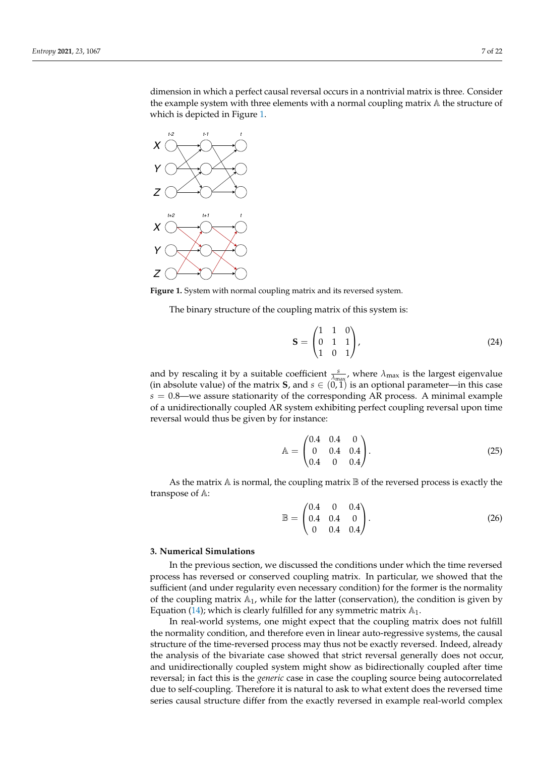dimension in which a perfect causal reversal occurs in a nontrivial matrix is three. Consider the example system with three elements with a normal coupling matrix A the structure of which is depicted in Figure [1.](#page-6-0)

<span id="page-6-0"></span>

**Figure 1.** System with normal coupling matrix and its reversed system.

The binary structure of the coupling matrix of this system is:

$$
\mathbf{S} = \begin{pmatrix} 1 & 1 & 0 \\ 0 & 1 & 1 \\ 1 & 0 & 1 \end{pmatrix}, \tag{24}
$$

and by rescaling it by a suitable coefficient  $\frac{s}{\lambda_{\text{max}}}$ , where  $\lambda_{\text{max}}$  is the largest eigenvalue (in absolute value) of the matrix **S**, and  $s \in (0, 1)$  is an optional parameter—in this case *s* = 0.8—we assure stationarity of the corresponding AR process. A minimal example of a unidirectionally coupled AR system exhibiting perfect coupling reversal upon time reversal would thus be given by for instance:

<span id="page-6-1"></span>
$$
\mathbb{A} = \begin{pmatrix} 0.4 & 0.4 & 0 \\ 0 & 0.4 & 0.4 \\ 0.4 & 0 & 0.4 \end{pmatrix} . \tag{25}
$$

As the matrix  $A$  is normal, the coupling matrix  $B$  of the reversed process is exactly the transpose of A:

<span id="page-6-2"></span>
$$
\mathbb{B} = \begin{pmatrix} 0.4 & 0 & 0.4 \\ 0.4 & 0.4 & 0 \\ 0 & 0.4 & 0.4 \end{pmatrix} . \tag{26}
$$

#### **3. Numerical Simulations**

In the previous section, we discussed the conditions under which the time reversed process has reversed or conserved coupling matrix. In particular, we showed that the sufficient (and under regularity even necessary condition) for the former is the normality of the coupling matrix  $A_1$ , while for the latter (conservation), the condition is given by Equation [\(14\)](#page-4-0); which is clearly fulfilled for any symmetric matrix  $\mathbb{A}_1$ .

In real-world systems, one might expect that the coupling matrix does not fulfill the normality condition, and therefore even in linear auto-regressive systems, the causal structure of the time-reversed process may thus not be exactly reversed. Indeed, already the analysis of the bivariate case showed that strict reversal generally does not occur, and unidirectionally coupled system might show as bidirectionally coupled after time reversal; in fact this is the *generic* case in case the coupling source being autocorrelated due to self-coupling. Therefore it is natural to ask to what extent does the reversed time series causal structure differ from the exactly reversed in example real-world complex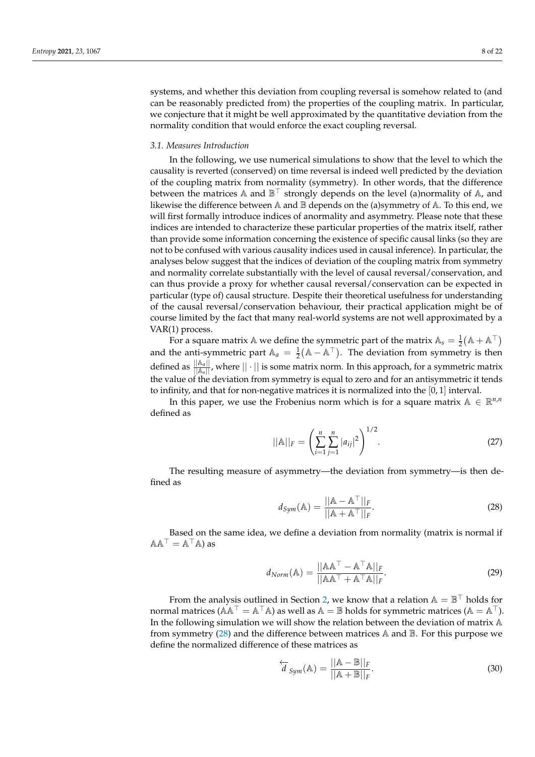systems, and whether this deviation from coupling reversal is somehow related to (and can be reasonably predicted from) the properties of the coupling matrix. In particular, we conjecture that it might be well approximated by the quantitative deviation from the normality condition that would enforce the exact coupling reversal.

#### *3.1. Measures Introduction*

In the following, we use numerical simulations to show that the level to which the causality is reverted (conserved) on time reversal is indeed well predicted by the deviation of the coupling matrix from normality (symmetry). In other words, that the difference between the matrices A and  $\mathbb{B}^{\top}$  strongly depends on the level (a)normality of A, and likewise the difference between  $A$  and  $B$  depends on the (a)symmetry of  $A$ . To this end, we will first formally introduce indices of anormality and asymmetry. Please note that these indices are intended to characterize these particular properties of the matrix itself, rather than provide some information concerning the existence of specific causal links (so they are not to be confused with various *c*ausality indices used in causal inference). In particular, the analyses below suggest that the indices of deviation of the coupling matrix from symmetry and normality correlate substantially with the level of causal reversal/conservation, and can thus provide a proxy for whether causal reversal/conservation can be expected in particular (type of) causal structure. Despite their theoretical usefulness for understanding of the causal reversal/conservation behaviour, their practical application might be of course limited by the fact that many real-world systems are not well approximated by a VAR(1) process.

For a square matrix  $\mathbb A$  we define the symmetric part of the matrix  $\mathbb A_s = \frac{1}{2}(\mathbb A + \mathbb A^\top)$ and the anti-symmetric part  $A_a = \frac{1}{2} (A - A^{\top})$ . The deviation from symmetry is then defined as  $\frac{||A_a||}{||A_s||}$ , where  $||\cdot||$  is some matrix norm. In this approach, for a symmetric matrix the value of the deviation from symmetry is equal to zero and for an antisymmetric it tends to infinity, and that for non-negative matrices it is normalized into the [0, 1] interval.

In this paper, we use the Frobenius norm which is for a square matrix  $A \in \mathbb{R}^{n,n}$ defined as

$$
||\mathbb{A}||_F = \left(\sum_{i=1}^n \sum_{j=1}^n |a_{ij}|^2\right)^{1/2}.
$$
 (27)

The resulting measure of asymmetry—the deviation from symmetry—is then defined as

<span id="page-7-1"></span><span id="page-7-0"></span>
$$
d_{Sym}(\mathbb{A}) = \frac{||\mathbb{A} - \mathbb{A}^{\top}||_F}{||\mathbb{A} + \mathbb{A}^{\top}||_F}.
$$
 (28)

Based on the same idea, we define a deviation from normality (matrix is normal if  $AA^{\top} = A^{\top}A$ ) as

$$
d_{Norm}(\mathbb{A}) = \frac{||\mathbb{A}\mathbb{A}^{\top} - \mathbb{A}^{\top}\mathbb{A}||_F}{||\mathbb{A}\mathbb{A}^{\top} + \mathbb{A}^{\top}\mathbb{A}||_F}.
$$
 (29)

From the analysis outlined in Section [2,](#page-1-1) we know that a relation  $\mathbb{A} = \mathbb{B}^{\top}$  holds for normal matrices ( $AA^{\top} = A^{\top}A$ ) as well as  $A = \mathbb{B}$  holds for symmetric matrices ( $A = A^{\top}$ ). In the following simulation we will show the relation between the deviation of matrix A from symmetry  $(28)$  and the difference between matrices  $\mathbb A$  and  $\mathbb B$ . For this purpose we define the normalized difference of these matrices as

$$
\overleftarrow{d}_{Sym}(\mathbb{A}) = \frac{||\mathbb{A} - \mathbb{B}||_F}{||\mathbb{A} + \mathbb{B}||_F}.
$$
\n(30)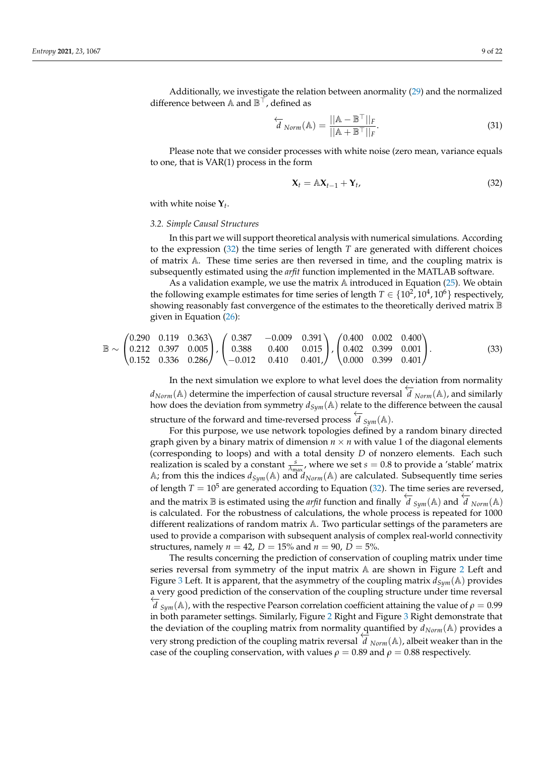$$
\overleftarrow{d}_{Norm}(\mathbb{A}) = \frac{||\mathbb{A} - \mathbb{B}^{\top}||_F}{||\mathbb{A} + \mathbb{B}^{\top}||_F}.
$$
\n(31)

Please note that we consider processes with white noise (zero mean, variance equals to one, that is VAR(1) process in the form

<span id="page-8-0"></span>
$$
\mathbf{X}_t = \mathbb{A}\mathbf{X}_{t-1} + \mathbf{Y}_t, \tag{32}
$$

with white noise **Y***t* .

## *3.2. Simple Causal Structures*

In this part we will support theoretical analysis with numerical simulations. According to the expression [\(32\)](#page-8-0) the time series of length *T* are generated with different choices of matrix A. These time series are then reversed in time, and the coupling matrix is subsequently estimated using the *arfit* function implemented in the MATLAB software.

As a validation example, we use the matrix  $\mathbb A$  introduced in Equation [\(25\)](#page-6-1). We obtain the following example estimates for time series of length  $T \in \{10^2, 10^4, 10^6\}$  respectively, showing reasonably fast convergence of the estimates to the theoretically derived matrix  $\mathbb B$ given in Equation [\(26\)](#page-6-2):

$$
\mathbb{B} \sim \begin{pmatrix} 0.290 & 0.119 & 0.363 \\ 0.212 & 0.397 & 0.005 \\ 0.152 & 0.336 & 0.286 \end{pmatrix}, \begin{pmatrix} 0.387 & -0.009 & 0.391 \\ 0.388 & 0.400 & 0.015 \\ -0.012 & 0.410 & 0.401 \end{pmatrix}, \begin{pmatrix} 0.400 & 0.002 & 0.400 \\ 0.402 & 0.399 & 0.001 \\ 0.000 & 0.399 & 0.401 \end{pmatrix}.
$$
\n
$$
(33)
$$

In the next simulation we explore to what level does the deviation from normality *d*<sub>*Norm</sub>*( $\triangle$ ) determine the imperfection of causal structure reversal  $d$  <sub>*Norm*</sub>( $\triangle$ ), and similarly</sub> how does the deviation from symmetry  $d_{Sum}(\mathbb{A})$  relate to the difference between the causal structure of the forward and time-reversed process  $\overleftarrow{d}_{Sym}(A)$ .

For this purpose, we use network topologies defined by a random binary directed graph given by a binary matrix of dimension  $n \times n$  with value 1 of the diagonal elements (corresponding to loops) and with a total density *D* of nonzero elements. Each such realization is scaled by a constant  $\frac{s}{\lambda_{\text{max}}}$ , where we set  $s = 0.8$  to provide a 'stable' matrix A; from this the indices  $d_{Sym}(A)$  and  $d_{Norm}(A)$  are calculated. Subsequently time series of length  $T = 10^5$  are generated according to Equation [\(32\)](#page-8-0). The time series are reversed, and the matrix B is estimated using the *arfit* function and finally  $\overleftarrow{d}_{Sym}(A)$  and  $\overleftarrow{d}_{Norm}(A)$ is calculated. For the robustness of calculations, the whole process is repeated for 1000 different realizations of random matrix A. Two particular settings of the parameters are used to provide a comparison with subsequent analysis of complex real-world connectivity structures, namely  $n = 42$ ,  $D = 15%$  and  $n = 90$ ,  $D = 5%$ .

The results concerning the prediction of conservation of coupling matrix under time series reversal from symmetry of the input matrix  $A$  are shown in Figure [2](#page-9-0) Left and Figure [3](#page-9-1) Left. It is apparent, that the asymmetry of the coupling matrix  $d_{Sym}(\mathbb{A})$  provides a very good prediction of the conservation of the coupling structure under time reversal ←−*<sup>d</sup> Sym*(A), with the respective Pearson correlation coefficient attaining the value of *<sup>ρ</sup>* <sup>=</sup> 0.99 in both parameter settings. Similarly, Figure [2](#page-9-0) Right and Figure [3](#page-9-1) Right demonstrate that the deviation of the coupling matrix from normality quantified by  $d_{Norm}(\mathbb{A})$  provides a very strong prediction of the coupling matrix reversal ←−*<sup>d</sup> Norm*(A), albeit weaker than in the case of the coupling conservation, with values  $\rho = 0.89$  and  $\rho = 0.88$  respectively.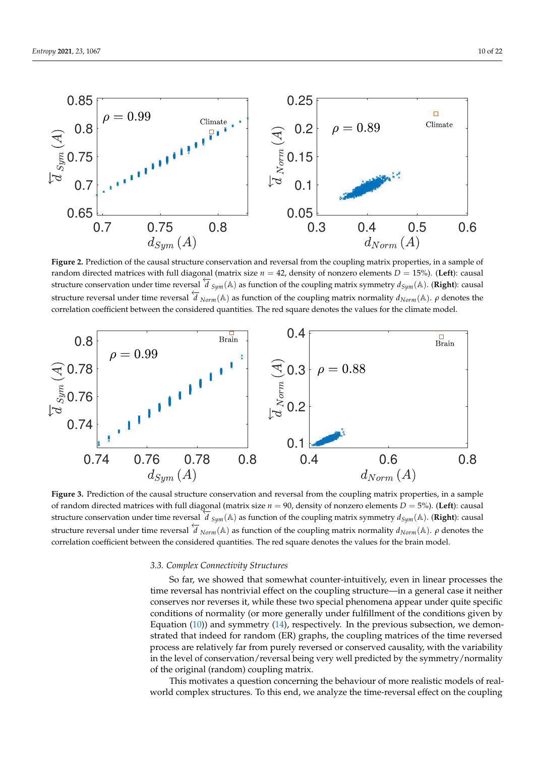<span id="page-9-0"></span>

**Figure 2.** Prediction of the causal structure conservation and reversal from the coupling matrix properties, in a sample of random directed matrices with full diagonal (matrix size  $n = 42$ , density of nonzero elements  $D = 15$ %). (Left): causal structure conservation under time reversal  $d_{sym}(A)$  as function of the coupling matrix symmetry  $d_{Sym}(A)$ . (**Right**): causal dentities  $d_{sym}(A)$ . structure reversal under time reversal ←−*<sup>d</sup> Norm*(A) as function of the coupling matrix normality *<sup>d</sup>Norm*(A). *<sup>ρ</sup>* denotes the correlation coefficient between the considered quantities. The red square denotes the values for the climate model.

<span id="page-9-1"></span>

**Figure 3.** Prediction of the causal structure conservation and reversal from the coupling matrix properties, in a sample of random directed matrices with full diagonal (matrix size  $n = 90$ , density of nonzero elements  $D = 5\%$ ). (Left): causal  $\overline{d}_{sym}$  (A) as function of the coupling matrix symmetry  $d_{Sym}(A)$ . (**Right**): causal destructure conservation under time reversal  $\overline{d}_{Sym}(A)$  as function of the coupling matrix symmetry  $d_{Sym}(A)$ . (**Right**): causal structure reversal under time reversal ←−*<sup>d</sup> Norm*(A) as function of the coupling matrix normality *<sup>d</sup>Norm*(A). *<sup>ρ</sup>* denotes the correlation coefficient between the considered quantities. The red square denotes the values for the brain model.

## *3.3. Complex Connectivity Structures*

So far, we showed that somewhat counter-intuitively, even in linear processes the time reversal has nontrivial effect on the coupling structure—in a general case it neither conserves nor reverses it, while these two special phenomena appear under quite specific conditions of normality (or more generally under fulfillment of the conditions given by Equation  $(10)$ ) and symmetry  $(14)$ , respectively. In the previous subsection, we demonstrated that indeed for random (ER) graphs, the coupling matrices of the time reversed process are relatively far from purely reversed or conserved causality, with the variability in the level of conservation/reversal being very well predicted by the symmetry/normality of the original (random) coupling matrix.

This motivates a question concerning the behaviour of more realistic models of realworld complex structures. To this end, we analyze the time-reversal effect on the coupling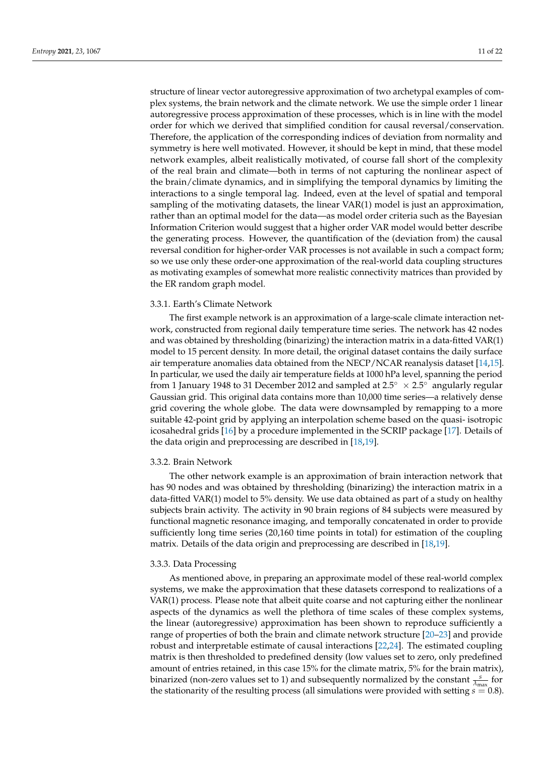structure of linear vector autoregressive approximation of two archetypal examples of complex systems, the brain network and the climate network. We use the simple order 1 linear autoregressive process approximation of these processes, which is in line with the model order for which we derived that simplified condition for causal reversal/conservation. Therefore, the application of the corresponding indices of deviation from normality and symmetry is here well motivated. However, it should be kept in mind, that these model network examples, albeit realistically motivated, of course fall short of the complexity of the real brain and climate—both in terms of not capturing the nonlinear aspect of the brain/climate dynamics, and in simplifying the temporal dynamics by limiting the interactions to a single temporal lag. Indeed, even at the level of spatial and temporal sampling of the motivating datasets, the linear VAR(1) model is just an approximation, rather than an optimal model for the data—as model order criteria such as the Bayesian Information Criterion would suggest that a higher order VAR model would better describe the generating process. However, the quantification of the (deviation from) the causal reversal condition for higher-order VAR processes is not available in such a compact form; so we use only these order-one approximation of the real-world data coupling structures as motivating examples of somewhat more realistic connectivity matrices than provided by the ER random graph model.

#### 3.3.1. Earth's Climate Network

The first example network is an approximation of a large-scale climate interaction network, constructed from regional daily temperature time series. The network has 42 nodes and was obtained by thresholding (binarizing) the interaction matrix in a data-fitted VAR(1) model to 15 percent density. In more detail, the original dataset contains the daily surface air temperature anomalies data obtained from the NECP/NCAR reanalysis dataset [\[14](#page-20-12)[,15\]](#page-20-13). In particular, we used the daily air temperature fields at 1000 hPa level, spanning the period from 1 January 1948 to 31 December 2012 and sampled at 2.5 $\degree \times 2.5\degree$  angularly regular Gaussian grid. This original data contains more than 10,000 time series—a relatively dense grid covering the whole globe. The data were downsampled by remapping to a more suitable 42-point grid by applying an interpolation scheme based on the quasi- isotropic icosahedral grids [\[16\]](#page-20-14) by a procedure implemented in the SCRIP package [\[17\]](#page-20-15). Details of the data origin and preprocessing are described in [\[18](#page-20-16)[,19\]](#page-20-17).

#### 3.3.2. Brain Network

The other network example is an approximation of brain interaction network that has 90 nodes and was obtained by thresholding (binarizing) the interaction matrix in a data-fitted VAR(1) model to 5% density. We use data obtained as part of a study on healthy subjects brain activity. The activity in 90 brain regions of 84 subjects were measured by functional magnetic resonance imaging, and temporally concatenated in order to provide sufficiently long time series (20,160 time points in total) for estimation of the coupling matrix. Details of the data origin and preprocessing are described in [\[18,](#page-20-16)[19\]](#page-20-17).

#### 3.3.3. Data Processing

As mentioned above, in preparing an approximate model of these real-world complex systems, we make the approximation that these datasets correspond to realizations of a VAR(1) process. Please note that albeit quite coarse and not capturing either the nonlinear aspects of the dynamics as well the plethora of time scales of these complex systems, the linear (autoregressive) approximation has been shown to reproduce sufficiently a range of properties of both the brain and climate network structure [\[20](#page-20-18)[–23\]](#page-20-19) and provide robust and interpretable estimate of causal interactions [\[22](#page-20-20)[,24\]](#page-21-0). The estimated coupling matrix is then thresholded to predefined density (low values set to zero, only predefined amount of entries retained, in this case 15% for the climate matrix, 5% for the brain matrix), binarized (non-zero values set to 1) and subsequently normalized by the constant  $\frac{s}{\lambda_{\max}}$  for the stationarity of the resulting process (all simulations were provided with setting *s* = 0.8).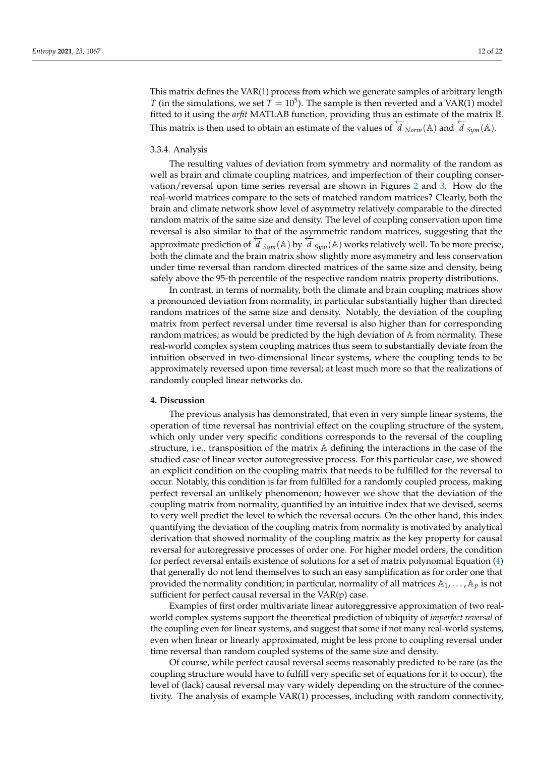This matrix defines the VAR(1) process from which we generate samples of arbitrary length *T* (in the simulations, we set  $T = 10^5$ ). The sample is then reverted and a VAR(1) model fitted to it using the *arfit* MATLAB function, providing thus an estimate of the matrix B. This matrix is then used to obtain an estimate of the values of  $\overleftrightarrow{d}_{Norm}(\mathbb{A})$  and  $\overleftrightarrow{d}_{Sym}(\mathbb{A})$ .

## 3.3.4. Analysis

The resulting values of deviation from symmetry and normality of the random as well as brain and climate coupling matrices, and imperfection of their coupling conservation/reversal upon time series reversal are shown in Figures [2](#page-9-0) and [3.](#page-9-1) How do the real-world matrices compare to the sets of matched random matrices? Clearly, both the brain and climate network show level of asymmetry relatively comparable to the directed random matrix of the same size and density. The level of coupling conservation upon time reversal is also similar to that of the asymmetric random matrices, suggesting that the approximate prediction of  $\overline{d}_{Sym}(A)$  by  $\overline{d}_{Sym}(A)$  works relatively well. To be more precise, both the climate and the brain matrix show slightly more asymmetry and less conservation under time reversal than random directed matrices of the same size and density, being safely above the 95-th percentile of the respective random matrix property distributions.

In contrast, in terms of normality, both the climate and brain coupling matrices show a pronounced deviation from normality, in particular substantially higher than directed random matrices of the same size and density. Notably, the deviation of the coupling matrix from perfect reversal under time reversal is also higher than for corresponding random matrices; as would be predicted by the high deviation of A from normality. These real-world complex system coupling matrices thus seem to substantially deviate from the intuition observed in two-dimensional linear systems, where the coupling tends to be approximately reversed upon time reversal; at least much more so that the realizations of randomly coupled linear networks do.

#### **4. Discussion**

The previous analysis has demonstrated, that even in very simple linear systems, the operation of time reversal has nontrivial effect on the coupling structure of the system, which only under very specific conditions corresponds to the reversal of the coupling structure, i.e., transposition of the matrix A defining the interactions in the case of the studied case of linear vector autoregressive process. For this particular case, we showed an explicit condition on the coupling matrix that needs to be fulfilled for the reversal to occur. Notably, this condition is far from fulfilled for a randomly coupled process, making perfect reversal an unlikely phenomenon; however we show that the deviation of the coupling matrix from normality, quantified by an intuitive index that we devised, seems to very well predict the level to which the reversal occurs. On the other hand, this index quantifying the deviation of the coupling matrix from normality is motivated by analytical derivation that showed normality of the coupling matrix as the key property for causal reversal for autoregressive processes of order one. For higher model orders, the condition for perfect reversal entails existence of solutions for a set of matrix polynomial Equation [\(4\)](#page-2-0) that generally do not lend themselves to such an easy simplification as for order one that provided the normality condition; in particular, normality of all matrices  $A_1, \ldots, A_p$  is not sufficient for perfect causal reversal in the VAR(p) case.

Examples of first order multivariate linear autoreggressive approximation of two realworld complex systems support the theoretical prediction of ubiquity of *imperfect reversal* of the coupling even for linear systems, and suggest that some if not many real-world systems, even when linear or linearly approximated, might be less prone to coupling reversal under time reversal than random coupled systems of the same size and density.

Of course, while perfect causal reversal seems reasonably predicted to be rare (as the coupling structure would have to fulfill very specific set of equations for it to occur), the level of (lack) causal reversal may vary widely depending on the structure of the connectivity. The analysis of example VAR(1) processes, including with random connectivity,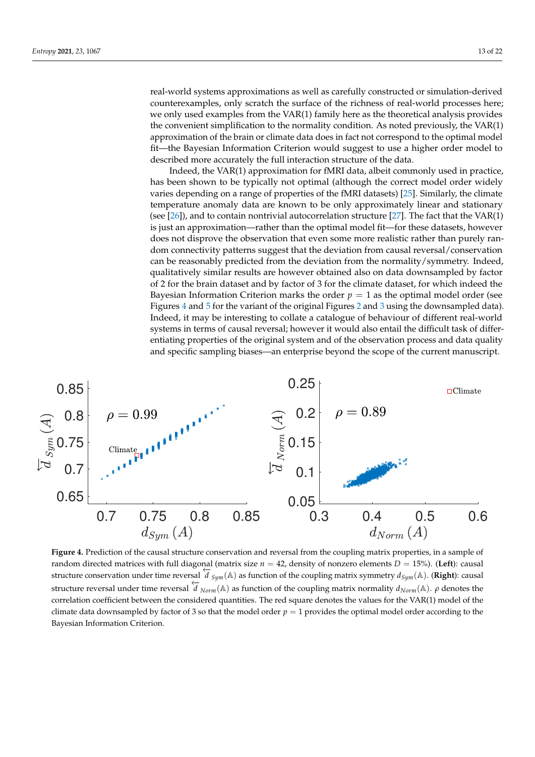real-world systems approximations as well as carefully constructed or simulation-derived counterexamples, only scratch the surface of the richness of real-world processes here; we only used examples from the VAR(1) family here as the theoretical analysis provides the convenient simplification to the normality condition. As noted previously, the VAR(1) approximation of the brain or climate data does in fact not correspond to the optimal model fit—the Bayesian Information Criterion would suggest to use a higher order model to described more accurately the full interaction structure of the data.

Indeed, the VAR(1) approximation for fMRI data, albeit commonly used in practice, has been shown to be typically not optimal (although the correct model order widely varies depending on a range of properties of the fMRI datasets) [\[25\]](#page-21-1). Similarly, the climate temperature anomaly data are known to be only approximately linear and stationary (see  $[26]$ ), and to contain nontrivial autocorrelation structure  $[27]$ . The fact that the VAR(1) is just an approximation—rather than the optimal model fit—for these datasets, however does not disprove the observation that even some more realistic rather than purely random connectivity patterns suggest that the deviation from causal reversal/conservation can be reasonably predicted from the deviation from the normality/symmetry. Indeed, qualitatively similar results are however obtained also on data downsampled by factor of 2 for the brain dataset and by factor of 3 for the climate dataset, for which indeed the Bayesian Information Criterion marks the order  $p = 1$  as the optimal model order (see Figures [4](#page-12-0) and [5](#page-13-0) for the variant of the original Figures [2](#page-9-0) and [3](#page-9-1) using the downsampled data). Indeed, it may be interesting to collate a catalogue of behaviour of different real-world systems in terms of causal reversal; however it would also entail the difficult task of differentiating properties of the original system and of the observation process and data quality and specific sampling biases—an enterprise beyond the scope of the current manuscript.

<span id="page-12-0"></span>

**Figure 4.** Prediction of the causal structure conservation and reversal from the coupling matrix properties, in a sample of random directed matrices with full diagonal (matrix size  $n = 42$ , density of nonzero elements  $D = 15\%$ ). (Left): causal structure conservation under time reversal  $d_{Sym}(A)$  as function of the coupling matrix symmetry  $d_{Sym}(A)$ . (**Right**): causal dentities  $d_{Sym}(A)$  as function of the coupling matrix symmetry  $d_{Sym}(A)$ . (**Right**): causal structure reversal under time reversal ←−*<sup>d</sup> Norm*(A) as function of the coupling matrix normality *<sup>d</sup>Norm*(A). *<sup>ρ</sup>* denotes the correlation coefficient between the considered quantities. The red square denotes the values for the VAR(1) model of the climate data downsampled by factor of 3 so that the model order  $p = 1$  provides the optimal model order according to the Bayesian Information Criterion.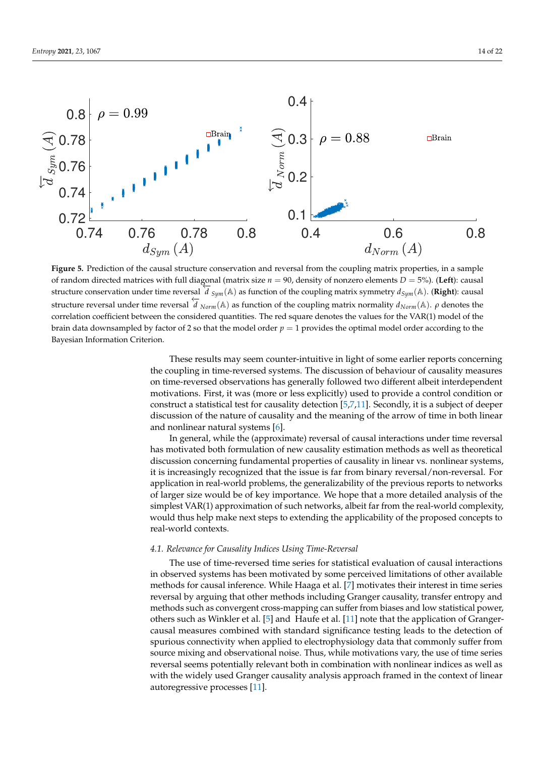<span id="page-13-0"></span>

**Figure 5.** Prediction of the causal structure conservation and reversal from the coupling matrix properties, in a sample of random directed matrices with full diagonal (matrix size *n* = 90, density of nonzero elements *D* = 5%). (**Left**): causal structure conservation under time reversal  $d_{sym}(A)$  as function of the coupling matrix symmetry  $d_{Sym}(A)$ . (**Right**): causal dentities  $d_{sym}(A)$ . structure reversal under time reversal ←−*<sup>d</sup> Norm*(A) as function of the coupling matrix normality *<sup>d</sup>Norm*(A). *<sup>ρ</sup>* denotes the correlation coefficient between the considered quantities. The red square denotes the values for the VAR(1) model of the brain data downsampled by factor of 2 so that the model order  $p = 1$  provides the optimal model order according to the Bayesian Information Criterion.

These results may seem counter-intuitive in light of some earlier reports concerning the coupling in time-reversed systems. The discussion of behaviour of causality measures on time-reversed observations has generally followed two different albeit interdependent motivations. First, it was (more or less explicitly) used to provide a control condition or construct a statistical test for causality detection [\[5](#page-20-4)[,7](#page-20-21)[,11\]](#page-20-9). Secondly, it is a subject of deeper discussion of the nature of causality and the meaning of the arrow of time in both linear and nonlinear natural systems [\[6\]](#page-20-6).

In general, while the (approximate) reversal of causal interactions under time reversal has motivated both formulation of new causality estimation methods as well as theoretical discussion concerning fundamental properties of causality in linear vs. nonlinear systems, it is increasingly recognized that the issue is far from binary reversal/non-reversal. For application in real-world problems, the generalizability of the previous reports to networks of larger size would be of key importance. We hope that a more detailed analysis of the simplest VAR(1) approximation of such networks, albeit far from the real-world complexity, would thus help make next steps to extending the applicability of the proposed concepts to real-world contexts.

#### *4.1. Relevance for Causality Indices Using Time-Reversal*

The use of time-reversed time series for statistical evaluation of causal interactions in observed systems has been motivated by some perceived limitations of other available methods for causal inference. While Haaga et al. [\[7\]](#page-20-21) motivates their interest in time series reversal by arguing that other methods including Granger causality, transfer entropy and methods such as convergent cross-mapping can suffer from biases and low statistical power, others such as Winkler et al. [\[5\]](#page-20-4) and Haufe et al. [\[11\]](#page-20-9) note that the application of Grangercausal measures combined with standard significance testing leads to the detection of spurious connectivity when applied to electrophysiology data that commonly suffer from source mixing and observational noise. Thus, while motivations vary, the use of time series reversal seems potentially relevant both in combination with nonlinear indices as well as with the widely used Granger causality analysis approach framed in the context of linear autoregressive processes [\[11\]](#page-20-9).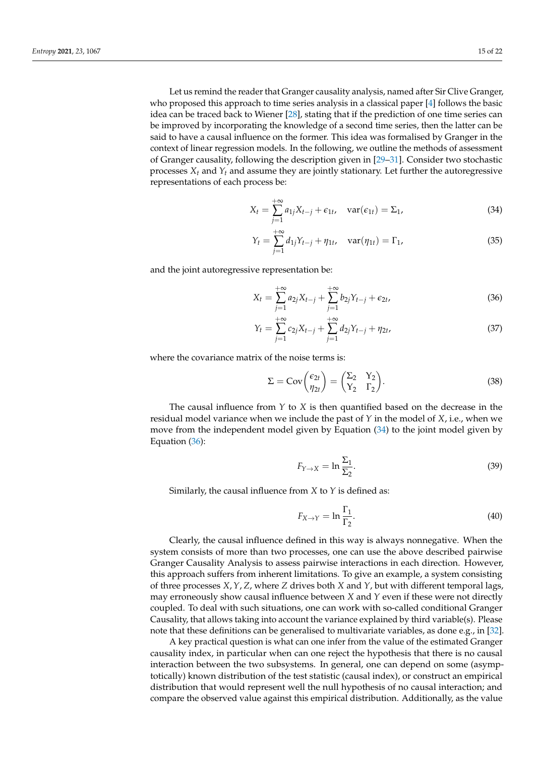Let us remind the reader that Granger causality analysis, named after Sir Clive Granger, who proposed this approach to time series analysis in a classical paper [\[4\]](#page-20-3) follows the basic idea can be traced back to Wiener [\[28\]](#page-21-4), stating that if the prediction of one time series can be improved by incorporating the knowledge of a second time series, then the latter can be said to have a causal influence on the former. This idea was formalised by Granger in the context of linear regression models. In the following, we outline the methods of assessment of Granger causality, following the description given in [\[29–](#page-21-5)[31\]](#page-21-6). Consider two stochastic processes *X<sup>t</sup>* and *Y<sup>t</sup>* and assume they are jointly stationary. Let further the autoregressive representations of each process be:

$$
X_t = \sum_{j=1}^{+\infty} a_{1j} X_{t-j} + \epsilon_{1t}, \quad \text{var}(\epsilon_{1t}) = \Sigma_1,\tag{34}
$$

<span id="page-14-0"></span>
$$
Y_t = \sum_{j=1}^{+\infty} d_{1j} Y_{t-j} + \eta_{1t}, \quad \text{var}(\eta_{1t}) = \Gamma_1,\tag{35}
$$

and the joint autoregressive representation be:

$$
X_t = \sum_{j=1}^{+\infty} a_{2j} X_{t-j} + \sum_{j=1}^{+\infty} b_{2j} Y_{t-j} + \epsilon_{2t},
$$
\n(36)

<span id="page-14-1"></span>
$$
Y_t = \sum_{j=1}^{+\infty} c_{2j} X_{t-j} + \sum_{j=1}^{+\infty} d_{2j} Y_{t-j} + \eta_{2t},
$$
\n(37)

where the covariance matrix of the noise terms is:

$$
\Sigma = \text{Cov}\begin{pmatrix} \epsilon_{2t} \\ \eta_{2t} \end{pmatrix} = \begin{pmatrix} \Sigma_2 & Y_2 \\ Y_2 & \Gamma_2 \end{pmatrix}.
$$
 (38)

The causal influence from *Y* to *X* is then quantified based on the decrease in the residual model variance when we include the past of *Y* in the model of *X*, i.e., when we move from the independent model given by Equation [\(34\)](#page-14-0) to the joint model given by Equation [\(36\)](#page-14-1):

$$
F_{Y \to X} = \ln \frac{\Sigma_1}{\Sigma_2}.
$$
\n(39)

Similarly, the causal influence from *X* to *Y* is defined as:

$$
F_{X \to Y} = \ln \frac{\Gamma_1}{\Gamma_2}.
$$
\n(40)

Clearly, the causal influence defined in this way is always nonnegative. When the system consists of more than two processes, one can use the above described pairwise Granger Causality Analysis to assess pairwise interactions in each direction. However, this approach suffers from inherent limitations. To give an example, a system consisting of three processes *X*,*Y*, *Z*, where *Z* drives both *X* and *Y*, but with different temporal lags, may erroneously show causal influence between *X* and *Y* even if these were not directly coupled. To deal with such situations, one can work with so-called conditional Granger Causality, that allows taking into account the variance explained by third variable(s). Please note that these definitions can be generalised to multivariate variables, as done e.g., in [\[32\]](#page-21-7).

A key practical question is what can one infer from the value of the estimated Granger causality index, in particular when can one reject the hypothesis that there is no causal interaction between the two subsystems. In general, one can depend on some (asymptotically) known distribution of the test statistic (causal index), or construct an empirical distribution that would represent well the null hypothesis of no causal interaction; and compare the observed value against this empirical distribution. Additionally, as the value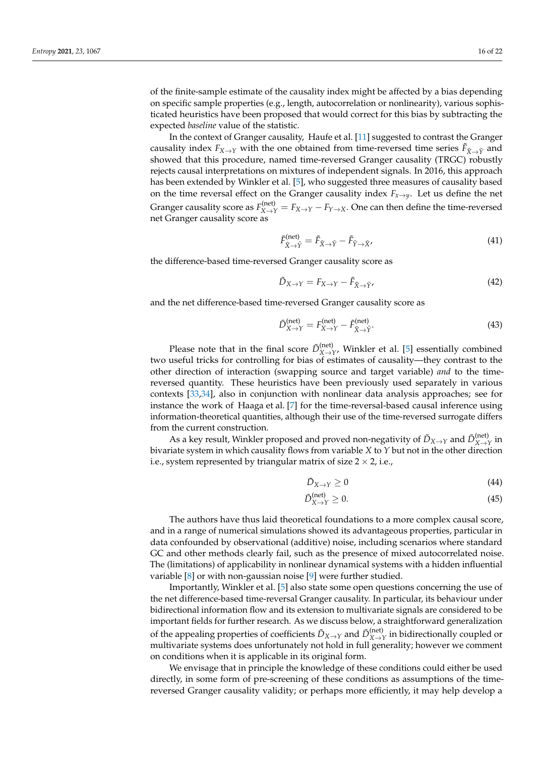of the finite-sample estimate of the causality index might be affected by a bias depending on specific sample properties (e.g., length, autocorrelation or nonlinearity), various sophisticated heuristics have been proposed that would correct for this bias by subtracting the expected *baseline* value of the statistic.

In the context of Granger causality, Haufe et al. [\[11\]](#page-20-9) suggested to contrast the Granger causality index  $F_{X\to Y}$  with the one obtained from time-reversed time series  $\tilde{F}_{\tilde{X}\to \tilde{Y}}$  and showed that this procedure, named time-reversed Granger causality (TRGC) robustly rejects causal interpretations on mixtures of independent signals. In 2016, this approach has been extended by Winkler et al. [\[5\]](#page-20-4), who suggested three measures of causality based on the time reversal effect on the Granger causality index  $F_{x\to y}$ . Let us define the net Granger causality score as  $F_{X \to Y}^{(net)} = F_{X \to Y} - F_{Y \to X}$ . One can then define the time-reversed net Granger causality score as

$$
\tilde{F}^{(\text{net})}_{\tilde{X}\to\tilde{Y}} = \tilde{F}_{\tilde{X}\to\tilde{Y}} - \tilde{F}_{\tilde{Y}\to\tilde{X}'} \tag{41}
$$

the difference-based time-reversed Granger causality score as

$$
\tilde{D}_{X \to Y} = F_{X \to Y} - \tilde{F}_{\tilde{X} \to \tilde{Y}}.
$$
\n(42)

and the net difference-based time-reversed Granger causality score as

$$
\tilde{D}_{X \to Y}^{\text{(net)}} = F_{X \to Y}^{\text{(net)}} - \tilde{F}_{\tilde{X} \to \tilde{Y}}^{\text{(net)}}.
$$
\n(43)

Please note that in the final score  $\tilde{D}_{X \to Y}^{(\text{net})}$ , Winkler et al. [\[5\]](#page-20-4) essentially combined two useful tricks for controlling for bias of estimates of causality—they contrast to the other direction of interaction (swapping source and target variable) *and* to the timereversed quantity. These heuristics have been previously used separately in various contexts [\[33](#page-21-8)[,34\]](#page-21-9), also in conjunction with nonlinear data analysis approaches; see for instance the work of Haaga et al. [\[7\]](#page-20-21) for the time-reversal-based causal inference using information-theoretical quantities, although their use of the time-reversed surrogate differs from the current construction.

As a key result, Winkler proposed and proved non-negativity of  $\tilde{D}_{X\to Y}$  and  $\tilde{D}_{X\to Y}^{(\rm net)}$  in bivariate system in which causality flows from variable *X* to *Y* but not in the other direction i.e., system represented by triangular matrix of size  $2 \times 2$ , i.e.,

<span id="page-15-0"></span>
$$
\tilde{D}_{X \to Y} \ge 0 \tag{44}
$$

$$
\tilde{D}_{X \to Y}^{\text{(net)}} \ge 0. \tag{45}
$$

The authors have thus laid theoretical foundations to a more complex causal score, and in a range of numerical simulations showed its advantageous properties, particular in data confounded by observational (additive) noise, including scenarios where standard GC and other methods clearly fail, such as the presence of mixed autocorrelated noise. The (limitations) of applicability in nonlinear dynamical systems with a hidden influential variable [\[8\]](#page-20-7) or with non-gaussian noise [\[9\]](#page-20-8) were further studied.

Importantly, Winkler et al. [\[5\]](#page-20-4) also state some open questions concerning the use of the net difference-based time-reversal Granger causality. In particular, its behaviour under bidirectional information flow and its extension to multivariate signals are considered to be important fields for further research. As we discuss below, a straightforward generalization of the appealing properties of coefficients  $\tilde{D}_{X\to Y}$  and  $\tilde{D}_{X\to Y}^{(\text{net})}$  in bidirectionally coupled or multivariate systems does unfortunately not hold in full generality; however we comment on conditions when it is applicable in its original form.

We envisage that in principle the knowledge of these conditions could either be used directly, in some form of pre-screening of these conditions as assumptions of the timereversed Granger causality validity; or perhaps more efficiently, it may help develop a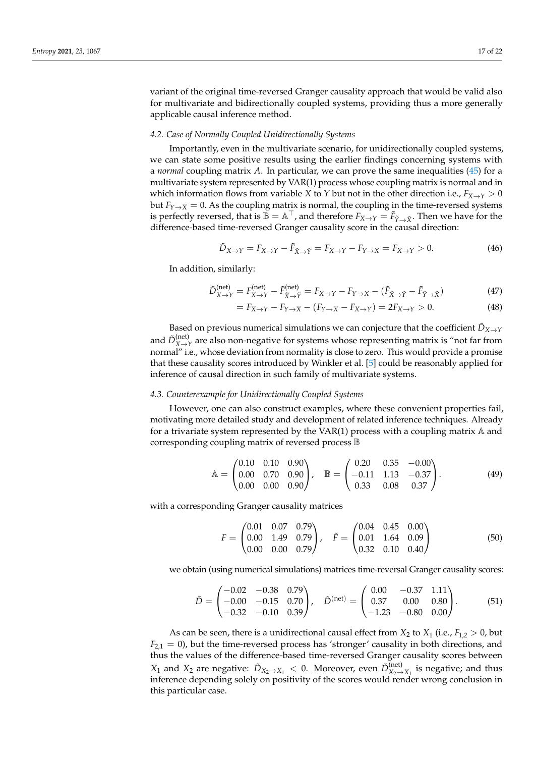variant of the original time-reversed Granger causality approach that would be valid also for multivariate and bidirectionally coupled systems, providing thus a more generally applicable causal inference method.

## *4.2. Case of Normally Coupled Unidirectionally Systems*

Importantly, even in the multivariate scenario, for unidirectionally coupled systems, we can state some positive results using the earlier findings concerning systems with a *normal* coupling matrix *A*. In particular, we can prove the same inequalities [\(45\)](#page-15-0) for a multivariate system represented by VAR(1) process whose coupling matrix is normal and in which information flows from variable *X* to *Y* but not in the other direction i.e.,  $F_{X\rightarrow Y} > 0$ but  $F_{Y\to X} = 0$ . As the coupling matrix is normal, the coupling in the time-reversed systems is perfectly reversed, that is  $\mathbb{B} = \mathbb{A}^\top$ , and therefore  $F_{X \to Y} = \tilde{F}_{\tilde{Y} \to \tilde{X}}$ . Then we have for the difference-based time-reversed Granger causality score in the causal direction:

$$
\tilde{D}_{X \to Y} = F_{X \to Y} - \tilde{F}_{\tilde{X} \to \tilde{Y}} = F_{X \to Y} - F_{Y \to X} = F_{X \to Y} > 0.
$$
\n
$$
(46)
$$

In addition, similarly:

$$
\tilde{D}_{X \to Y}^{\text{(net)}} = F_{X \to Y}^{\text{(net)}} - \tilde{F}_{\tilde{X} \to \tilde{Y}}^{\text{(net)}} = F_{X \to Y} - F_{Y \to X} - (\tilde{F}_{\tilde{X} \to \tilde{Y}} - \tilde{F}_{\tilde{Y} \to \tilde{X}})
$$
\n(47)

$$
= F_{X \to Y} - F_{Y \to X} - (F_{Y \to X} - F_{X \to Y}) = 2F_{X \to Y} > 0.
$$
\n(48)

Based on previous numerical simulations we can conjecture that the coefficient  $\tilde{D}_{X\rightarrow Y}$ and  $\tilde{D}_{X \to Y}^{(\text{net})}$  are also non-negative for systems whose representing matrix is "not far from normal" i.e., whose deviation from normality is close to zero. This would provide a promise that these causality scores introduced by Winkler et al. [\[5\]](#page-20-4) could be reasonably applied for inference of causal direction in such family of multivariate systems.

# *4.3. Counterexample for Unidirectionally Coupled Systems*

However, one can also construct examples, where these convenient properties fail, motivating more detailed study and development of related inference techniques. Already for a trivariate system represented by the VAR(1) process with a coupling matrix  $\mathbb A$  and corresponding coupling matrix of reversed process B

$$
\mathbb{A} = \begin{pmatrix} 0.10 & 0.10 & 0.90 \\ 0.00 & 0.70 & 0.90 \\ 0.00 & 0.00 & 0.90 \end{pmatrix}, \quad \mathbb{B} = \begin{pmatrix} 0.20 & 0.35 & -0.00 \\ -0.11 & 1.13 & -0.37 \\ 0.33 & 0.08 & 0.37 \end{pmatrix}.
$$
 (49)

with a corresponding Granger causality matrices

$$
F = \begin{pmatrix} 0.01 & 0.07 & 0.79 \\ 0.00 & 1.49 & 0.79 \\ 0.00 & 0.00 & 0.79 \end{pmatrix}, \quad \tilde{F} = \begin{pmatrix} 0.04 & 0.45 & 0.00 \\ 0.01 & 1.64 & 0.09 \\ 0.32 & 0.10 & 0.40 \end{pmatrix}
$$
(50)

we obtain (using numerical simulations) matrices time-reversal Granger causality scores:

$$
\tilde{D} = \begin{pmatrix}\n-0.02 & -0.38 & 0.79 \\
-0.00 & -0.15 & 0.70 \\
-0.32 & -0.10 & 0.39\n\end{pmatrix}, \quad \tilde{D}^{(\text{net})} = \begin{pmatrix}\n0.00 & -0.37 & 1.11 \\
0.37 & 0.00 & 0.80 \\
-1.23 & -0.80 & 0.00\n\end{pmatrix}.
$$
\n(51)

As can be seen, there is a unidirectional causal effect from  $X_2$  to  $X_1$  (i.e.,  $F_{1,2} > 0$ , but  $F_{2,1} = 0$ ), but the time-reversed process has 'stronger' causality in both directions, and thus the values of the difference-based time-reversed Granger causality scores between *X*<sub>1</sub> and *X*<sub>2</sub> are negative:  $\tilde{D}_{X_2 \to X_1} < 0$ . Moreover, even  $\tilde{D}_{X_2 \to X_1}^{(\text{net})}$  is negative; and thus inference depending solely on positivity of the scores would render wrong conclusion in this particular case.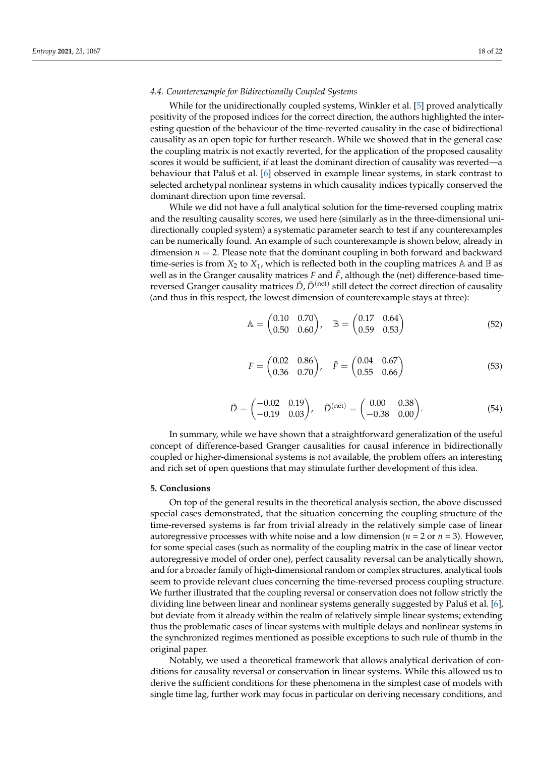# *4.4. Counterexample for Bidirectionally Coupled Systems*

While for the unidirectionally coupled systems, Winkler et al. [\[5\]](#page-20-4) proved analytically positivity of the proposed indices for the correct direction, the authors highlighted the interesting question of the behaviour of the time-reverted causality in the case of bidirectional causality as an open topic for further research. While we showed that in the general case the coupling matrix is not exactly reverted, for the application of the proposed causality scores it would be sufficient, if at least the dominant direction of causality was reverted—a behaviour that Paluš et al. [\[6\]](#page-20-6) observed in example linear systems, in stark contrast to selected archetypal nonlinear systems in which causality indices typically conserved the dominant direction upon time reversal.

While we did not have a full analytical solution for the time-reversed coupling matrix and the resulting causality scores, we used here (similarly as in the three-dimensional unidirectionally coupled system) a systematic parameter search to test if any counterexamples can be numerically found. An example of such counterexample is shown below, already in dimension  $n = 2$ . Please note that the dominant coupling in both forward and backward time-series is from  $X_2$  to  $X_1$ , which is reflected both in the coupling matrices A and B as well as in the Granger causality matrices  $F$  and  $\bar{F}$ , although the (net) difference-based timereversed Granger causality matrices  $\tilde{D}$ ,  $\tilde{D}^{(\mathrm{net})}$  still detect the correct direction of causality (and thus in this respect, the lowest dimension of counterexample stays at three):

$$
\mathbb{A} = \begin{pmatrix} 0.10 & 0.70 \\ 0.50 & 0.60 \end{pmatrix}, \quad \mathbb{B} = \begin{pmatrix} 0.17 & 0.64 \\ 0.59 & 0.53 \end{pmatrix}
$$
 (52)

$$
F = \begin{pmatrix} 0.02 & 0.86 \\ 0.36 & 0.70 \end{pmatrix}, \quad \tilde{F} = \begin{pmatrix} 0.04 & 0.67 \\ 0.55 & 0.66 \end{pmatrix}
$$
(53)

$$
\tilde{D} = \begin{pmatrix} -0.02 & 0.19 \\ -0.19 & 0.03 \end{pmatrix}, \quad \tilde{D}^{(\text{net})} = \begin{pmatrix} 0.00 & 0.38 \\ -0.38 & 0.00 \end{pmatrix}.
$$
 (54)

In summary, while we have shown that a straightforward generalization of the useful concept of difference-based Granger causalities for causal inference in bidirectionally coupled or higher-dimensional systems is not available, the problem offers an interesting and rich set of open questions that may stimulate further development of this idea.

# **5. Conclusions**

On top of the general results in the theoretical analysis section, the above discussed special cases demonstrated, that the situation concerning the coupling structure of the time-reversed systems is far from trivial already in the relatively simple case of linear autoregressive processes with white noise and a low dimension ( $n = 2$  or  $n = 3$ ). However, for some special cases (such as normality of the coupling matrix in the case of linear vector autoregressive model of order one), perfect causality reversal can be analytically shown, and for a broader family of high-dimensional random or complex structures, analytical tools seem to provide relevant clues concerning the time-reversed process coupling structure. We further illustrated that the coupling reversal or conservation does not follow strictly the dividing line between linear and nonlinear systems generally suggested by Paluš et al. [\[6\]](#page-20-6), but deviate from it already within the realm of relatively simple linear systems; extending thus the problematic cases of linear systems with multiple delays and nonlinear systems in the synchronized regimes mentioned as possible exceptions to such rule of thumb in the original paper.

Notably, we used a theoretical framework that allows analytical derivation of conditions for causality reversal or conservation in linear systems. While this allowed us to derive the sufficient conditions for these phenomena in the simplest case of models with single time lag, further work may focus in particular on deriving necessary conditions, and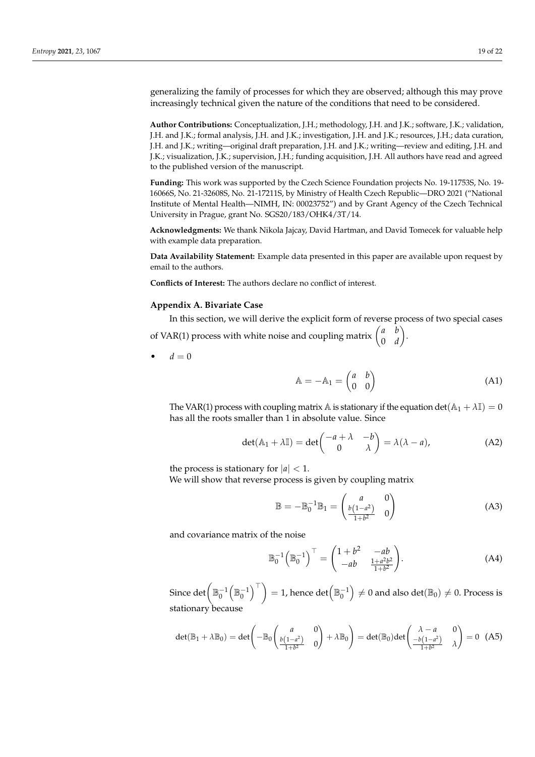generalizing the family of processes for which they are observed; although this may prove increasingly technical given the nature of the conditions that need to be considered.

**Author Contributions:** Conceptualization, J.H.; methodology, J.H. and J.K.; software, J.K.; validation, J.H. and J.K.; formal analysis, J.H. and J.K.; investigation, J.H. and J.K.; resources, J.H.; data curation, J.H. and J.K.; writing—original draft preparation, J.H. and J.K.; writing—review and editing, J.H. and J.K.; visualization, J.K.; supervision, J.H.; funding acquisition, J.H. All authors have read and agreed to the published version of the manuscript.

**Funding:** This work was supported by the Czech Science Foundation projects No. 19-11753S, No. 19- 16066S, No. 21-32608S, No. 21-17211S, by Ministry of Health Czech Republic—DRO 2021 ("National Institute of Mental Health—NIMH, IN: 00023752") and by Grant Agency of the Czech Technical University in Prague, grant No. SGS20/183/OHK4/3T/14.

**Acknowledgments:** We thank Nikola Jajcay, David Hartman, and David Tomecek for valuable help with example data preparation.

**Data Availability Statement:** Example data presented in this paper are available upon request by email to the authors.

**Conflicts of Interest:** The authors declare no conflict of interest.

# <span id="page-18-0"></span>**Appendix A. Bivariate Case**

In this section, we will derive the explicit form of reverse process of two special cases of VAR(1) process with white noise and coupling matrix  $\begin{pmatrix} a & b \\ 0 & d \end{pmatrix}$ 0 *d*  $\big).$ 

 $d = 0$ 

$$
\mathbb{A} = -\mathbb{A}_1 = \begin{pmatrix} a & b \\ 0 & 0 \end{pmatrix} \tag{A1}
$$

The VAR(1) process with coupling matrix  $\mathbb A$  is stationary if the equation det( $\mathbb A_1 + \lambda \mathbb I$ ) = 0 has all the roots smaller than 1 in absolute value. Since

$$
\det(\mathbb{A}_1 + \lambda \mathbb{I}) = \det\begin{pmatrix} -a + \lambda & -b \\ 0 & \lambda \end{pmatrix} = \lambda(\lambda - a), \tag{A2}
$$

the process is stationary for  $|a| < 1$ .

We will show that reverse process is given by coupling matrix

<span id="page-18-1"></span>
$$
\mathbb{B} = -\mathbb{B}_0^{-1} \mathbb{B}_1 = \begin{pmatrix} a & 0 \\ \frac{b(1-a^2)}{1+b^2} & 0 \end{pmatrix}
$$
 (A3)

and covariance matrix of the noise

$$
\mathbb{B}_0^{-1} \left( \mathbb{B}_0^{-1} \right)^{\top} = \begin{pmatrix} 1+b^2 & -ab \\ -ab & \frac{1+a^2b^2}{1+b^2} \end{pmatrix} . \tag{A4}
$$

Since  $\det\Bigl(\mathbb{B}_0^{-1}\Bigl(\mathbb{B}_0^{-1}\Bigr)^\top\Bigr)=1$ , hence  $\det\Bigl(\mathbb{B}_0^{-1}\Bigr)\neq 0$  and also  $\det(\mathbb{B}_0)\neq 0.$  Process is stationary because

$$
\det(\mathbb{B}_1 + \lambda \mathbb{B}_0) = \det\begin{pmatrix} a & 0 \\ \frac{b(1-a^2)}{1+b^2} & 0 \end{pmatrix} + \lambda \mathbb{B}_0 \end{pmatrix} = \det(\mathbb{B}_0) \det\begin{pmatrix} \lambda - a & 0 \\ \frac{-b(1-a^2)}{1+b^2} & \lambda \end{pmatrix} = 0 \quad (A5)
$$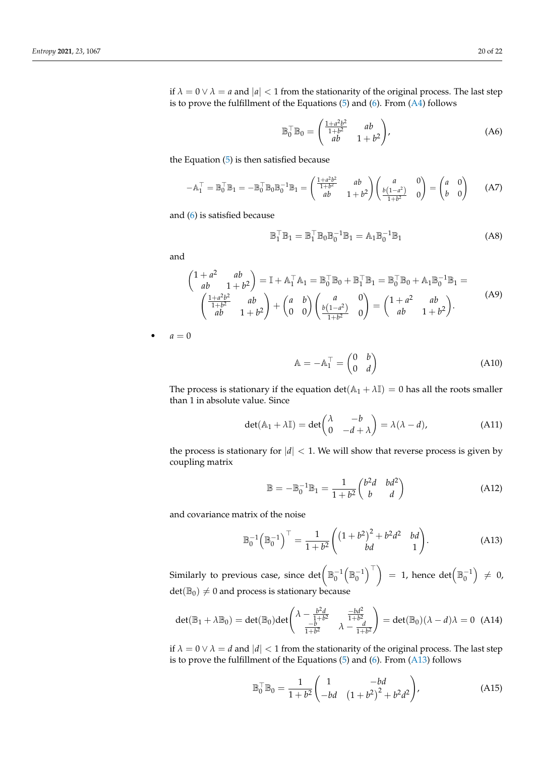if  $\lambda = 0 \vee \lambda = a$  and  $|a| < 1$  from the stationarity of the original process. The last step is to prove the fulfillment of the Equations [\(5\)](#page-3-0) and [\(6\)](#page-3-1). From [\(A4\)](#page-18-1) follows

$$
\mathbb{B}_0^\top \mathbb{B}_0 = \begin{pmatrix} \frac{1+a^2b^2}{1+b^2} & ab\\ ab & 1+b^2 \end{pmatrix},\tag{A6}
$$

the Equation [\(5\)](#page-3-0) is then satisfied because

$$
-A_1^\top = \mathbb{B}_0^\top \mathbb{B}_1 = -\mathbb{B}_0^\top \mathbb{B}_0 \mathbb{B}_0^{-1} \mathbb{B}_1 = \begin{pmatrix} \frac{1+a^2b^2}{1+b^2} & ab \\ ab & 1+b^2 \end{pmatrix} \begin{pmatrix} a & 0 \\ \frac{b(1-a^2)}{1+b^2} & 0 \end{pmatrix} = \begin{pmatrix} a & 0 \\ b & 0 \end{pmatrix}
$$
 (A7)

and [\(6\)](#page-3-1) is satisfied because

$$
\mathbb{B}_1^\top \mathbb{B}_1 = \mathbb{B}_1^\top \mathbb{B}_0 \mathbb{B}_0^{-1} \mathbb{B}_1 = \mathbb{A}_1 \mathbb{B}_0^{-1} \mathbb{B}_1 \tag{A8}
$$

and

$$
\begin{pmatrix} 1+a^2 & ab \ ab & 1+b^2 \end{pmatrix} = \mathbb{I} + \mathbb{A}_1^{\top} \mathbb{A}_1 = \mathbb{B}_0^{\top} \mathbb{B}_0 + \mathbb{B}_1^{\top} \mathbb{B}_1 = \mathbb{B}_0^{\top} \mathbb{B}_0 + \mathbb{A}_1 \mathbb{B}_0^{-1} \mathbb{B}_1 =
$$

$$
\begin{pmatrix} \frac{1+a^2b^2}{1+b^2} & ab \ ab & 1+b^2 \end{pmatrix} + \begin{pmatrix} a & b \ 0 & 0 \end{pmatrix} \begin{pmatrix} a & 0 \ \frac{b(1-a^2)}{1+b^2} & 0 \end{pmatrix} = \begin{pmatrix} 1+a^2 & ab \ ab & 1+b^2 \end{pmatrix}.
$$
 (A9)

 $a = 0$ 

 $\mathbb{A} = -\mathbb{A}_1^\top = \begin{pmatrix} 0 & b \\ 0 & d \end{pmatrix}$ 0 *d* λ (A10)

The process is stationary if the equation  $\det(A_1 + \lambda \mathbb{I}) = 0$  has all the roots smaller than 1 in absolute value. Since

$$
\det(\mathbb{A}_1 + \lambda \mathbb{I}) = \det \begin{pmatrix} \lambda & -b \\ 0 & -d + \lambda \end{pmatrix} = \lambda(\lambda - d), \tag{A11}
$$

the process is stationary for  $|d| < 1$ . We will show that reverse process is given by coupling matrix

<span id="page-19-0"></span>
$$
\mathbb{B} = -\mathbb{B}_0^{-1} \mathbb{B}_1 = \frac{1}{1+b^2} \begin{pmatrix} b^2 d & bd^2 \\ b & d \end{pmatrix}
$$
 (A12)

and covariance matrix of the noise

$$
\mathbb{B}_0^{-1} \left( \mathbb{B}_0^{-1} \right)^{\top} = \frac{1}{1+b^2} \begin{pmatrix} \left(1+b^2\right)^2 + b^2 d^2 & bd \\ bd & 1 \end{pmatrix} . \tag{A13}
$$

Similarly to previous case, since  $\det\left(\mathbb{B}^{-1}_0\!\left(\mathbb{B}^{-1}_0\right)^{\top}\right)~=~1,$  hence  $\det\!\left(\mathbb{B}^{-1}_0\right)~\neq~0,$  $det(\mathbb{B}_0) \neq 0$  and process is stationary because

$$
\det(\mathbb{B}_1 + \lambda \mathbb{B}_0) = \det(\mathbb{B}_0) \det \begin{pmatrix} \lambda - \frac{b^2 d}{1 + b^2} & \frac{-b d^2}{1 + b^2} \\ \frac{-b}{1 + b^2} & \lambda - \frac{d}{1 + b^2} \end{pmatrix} = \det(\mathbb{B}_0)(\lambda - d)\lambda = 0 \quad \text{(A14)}
$$

if  $\lambda = 0 \vee \lambda = d$  and  $|d| < 1$  from the stationarity of the original process. The last step is to prove the fulfillment of the Equations  $(5)$  and  $(6)$ . From  $(A13)$  follows

$$
\mathbb{B}_0^{\top} \mathbb{B}_0 = \frac{1}{1 + b^2} \begin{pmatrix} 1 & -bd \\ -bd & (1 + b^2)^2 + b^2 d^2 \end{pmatrix},
$$
 (A15)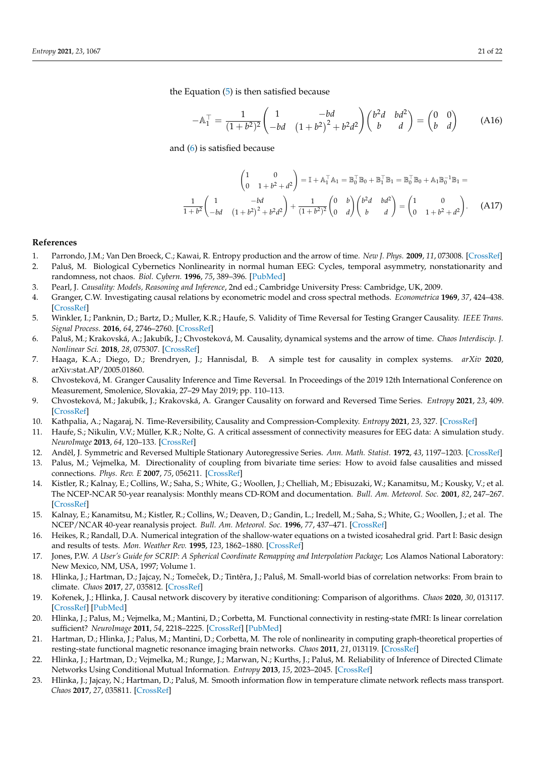the Equation [\(5\)](#page-3-0) is then satisfied because

$$
-A_1^{\top} = \frac{1}{(1+b^2)^2} \begin{pmatrix} 1 & -bd \\ -bd & (1+b^2)^2 + b^2d^2 \end{pmatrix} \begin{pmatrix} b^2d & bd^2 \\ b & d \end{pmatrix} = \begin{pmatrix} 0 & 0 \\ b & d \end{pmatrix}
$$
 (A16)

and [\(6\)](#page-3-1) is satisfied because

$$
\begin{pmatrix} 1 & 0 \ 0 & 1 + b^2 + d^2 \end{pmatrix} = \mathbb{I} + \mathbb{A}_1^{\top} \mathbb{A}_1 = \mathbb{B}_0^{\top} \mathbb{B}_0 + \mathbb{B}_1^{\top} \mathbb{B}_1 = \mathbb{B}_0^{\top} \mathbb{B}_0 + \mathbb{A}_1 \mathbb{B}_0^{-1} \mathbb{B}_1 =
$$

$$
\frac{1}{1 + b^2} \begin{pmatrix} 1 & -bd \ -bd & (1 + b^2)^2 + b^2 d^2 \end{pmatrix} + \frac{1}{(1 + b^2)^2} \begin{pmatrix} 0 & b \ 0 & d \end{pmatrix} \begin{pmatrix} b^2 d & bd^2 \ b & d \end{pmatrix} = \begin{pmatrix} 1 & 0 \ 0 & 1 + b^2 + d^2 \end{pmatrix}.
$$
 (A17)

## **References**

<span id="page-20-0"></span>1. Parrondo, J.M.; Van Den Broeck, C.; Kawai, R. Entropy production and the arrow of time. *New J. Phys.* **2009**, *11*, 073008. [\[CrossRef\]](http://doi.org/10.1088/1367-2630/11/7/073008)

<span id="page-20-1"></span>2. Paluš, M. Biological Cybernetics Nonlinearity in normal human EEG: Cycles, temporal asymmetry, nonstationarity and randomness, not chaos. *Biol. Cybern.* **1996**, *75*, 389–396. [\[PubMed\]](http://www.ncbi.nlm.nih.gov/pubmed/8983161)

- <span id="page-20-2"></span>3. Pearl, J. *Causality: Models, Reasoning and Inference*, 2nd ed.; Cambridge University Press: Cambridge, UK, 2009.
- <span id="page-20-3"></span>4. Granger, C.W. Investigating causal relations by econometric model and cross spectral methods. *Econometrica* **1969**, *37*, 424–438. [\[CrossRef\]](http://dx.doi.org/10.2307/1912791)
- <span id="page-20-4"></span>5. Winkler, I.; Panknin, D.; Bartz, D.; Muller, K.R.; Haufe, S. Validity of Time Reversal for Testing Granger Causality. *IEEE Trans. Signal Process.* **2016**, *64*, 2746–2760. [\[CrossRef\]](http://dx.doi.org/10.1109/TSP.2016.2531628)
- <span id="page-20-6"></span>6. Paluš, M.; Krakovská, A.; Jakubík, J.; Chvosteková, M. Causality, dynamical systems and the arrow of time. *Chaos Interdiscip. J. Nonlinear Sci.* **2018**, *28*, 075307. [\[CrossRef\]](http://dx.doi.org/10.1063/1.5019944)
- <span id="page-20-21"></span>7. Haaga, K.A.; Diego, D.; Brendryen, J.; Hannisdal, B. A simple test for causality in complex systems. *arXiv* **2020**, arXiv:stat.AP/2005.01860.
- <span id="page-20-7"></span>8. Chvosteková, M. Granger Causality Inference and Time Reversal. In Proceedings of the 2019 12th International Conference on Measurement, Smolenice, Slovakia, 27–29 May 2019; pp. 110–113.
- <span id="page-20-8"></span>9. Chvosteková, M.; Jakubík, J.; Krakovská, A. Granger Causality on forward and Reversed Time Series. *Entropy* **2021**, *23*, 409. [\[CrossRef\]](http://dx.doi.org/10.3390/e23040409)
- <span id="page-20-5"></span>10. Kathpalia, A.; Nagaraj, N. Time-Reversibility, Causality and Compression-Complexity. *Entropy* **2021**, *23*, 327. [\[CrossRef\]](http://dx.doi.org/10.3390/e23030327)
- <span id="page-20-9"></span>11. Haufe, S.; Nikulin, V.V.; Müller, K.R.; Nolte, G. A critical assessment of connectivity measures for EEG data: A simulation study. *NeuroImage* **2013**, *64*, 120–133. [\[CrossRef\]](http://dx.doi.org/10.1016/j.neuroimage.2012.09.036)
- <span id="page-20-10"></span>12. Anděl, J. Symmetric and Reversed Multiple Stationary Autoregressive Series. Ann. Math. Statist. 1972, 43, 1197-1203. [\[CrossRef\]](http://dx.doi.org/10.1214/aoms/1177692471)
- <span id="page-20-11"></span>13. Palus, M.; Vejmelka, M. Directionality of coupling from bivariate time series: How to avoid false causalities and missed connections. *Phys. Rev. E* **2007**, *75*, 056211. [\[CrossRef\]](http://dx.doi.org/10.1103/PhysRevE.75.056211)
- <span id="page-20-12"></span>14. Kistler, R.; Kalnay, E.; Collins, W.; Saha, S.; White, G.; Woollen, J.; Chelliah, M.; Ebisuzaki, W.; Kanamitsu, M.; Kousky, V.; et al. The NCEP-NCAR 50-year reanalysis: Monthly means CD-ROM and documentation. *Bull. Am. Meteorol. Soc.* **2001**, *82*, 247–267. [\[CrossRef\]](http://dx.doi.org/10.1175/1520-0477(2001)082<0247:TNNYRM>2.3.CO;2)
- <span id="page-20-13"></span>15. Kalnay, E.; Kanamitsu, M.; Kistler, R.; Collins, W.; Deaven, D.; Gandin, L.; Iredell, M.; Saha, S.; White, G.; Woollen, J.; et al. The NCEP/NCAR 40-year reanalysis project. *Bull. Am. Meteorol. Soc.* **1996**, *77*, 437–471. [\[CrossRef\]](http://dx.doi.org/10.1175/1520-0477(1996)077<0437:TNYRP>2.0.CO;2)
- <span id="page-20-14"></span>16. Heikes, R.; Randall, D.A. Numerical integration of the shallow-water equations on a twisted icosahedral grid. Part I: Basic design and results of tests. *Mon. Weather Rev.* **1995**, *123*, 1862–1880. [\[CrossRef\]](http://dx.doi.org/10.1175/1520-0493(1995)123<1862:NIOTSW>2.0.CO;2)
- <span id="page-20-15"></span>17. Jones, P.W. *A User's Guide for SCRIP: A Spherical Coordinate Remapping and Interpolation Package*; Los Alamos National Laboratory: New Mexico, NM, USA, 1997; Volume 1.
- <span id="page-20-16"></span>18. Hlinka, J.; Hartman, D.; Jajcay, N.; Tomeĉek, D.; Tintêra, J.; Paluŝ, M. Small-world bias of correlation networks: From brain to climate. *Chaos* **2017**, *27*, 035812. [\[CrossRef\]](http://dx.doi.org/10.1063/1.4977951)
- <span id="page-20-17"></span>19. Koˇrenek, J.; Hlinka, J. Causal network discovery by iterative conditioning: Comparison of algorithms. *Chaos* **2020**, *30*, 013117. [\[CrossRef\]](http://dx.doi.org/10.1063/1.5115267) [\[PubMed\]](http://www.ncbi.nlm.nih.gov/pubmed/32013475)
- <span id="page-20-18"></span>20. Hlinka, J.; Palus, M.; Vejmelka, M.; Mantini, D.; Corbetta, M. Functional connectivity in resting-state fMRI: Is linear correlation sufficient? *NeuroImage* **2011**, *54*, 2218–2225. [\[CrossRef\]](http://dx.doi.org/10.1016/j.neuroimage.2010.08.042) [\[PubMed\]](http://www.ncbi.nlm.nih.gov/pubmed/20800096)
- 21. Hartman, D.; Hlinka, J.; Palus, M.; Mantini, D.; Corbetta, M. The role of nonlinearity in computing graph-theoretical properties of resting-state functional magnetic resonance imaging brain networks. *Chaos* **2011**, *21*, 013119. [\[CrossRef\]](http://dx.doi.org/10.1063/1.3553181)
- <span id="page-20-20"></span>22. Hlinka, J.; Hartman, D.; Vejmelka, M.; Runge, J.; Marwan, N.; Kurths, J.; Paluš, M. Reliability of Inference of Directed Climate Networks Using Conditional Mutual Information. *Entropy* **2013**, *15*, 2023–2045. [\[CrossRef\]](http://dx.doi.org/10.3390/e15062023)
- <span id="page-20-19"></span>23. Hlinka, J.; Jajcay, N.; Hartman, D.; Paluš, M. Smooth information flow in temperature climate network reflects mass transport. *Chaos* **2017**, *27*, 035811. [\[CrossRef\]](http://dx.doi.org/10.1063/1.4978028)